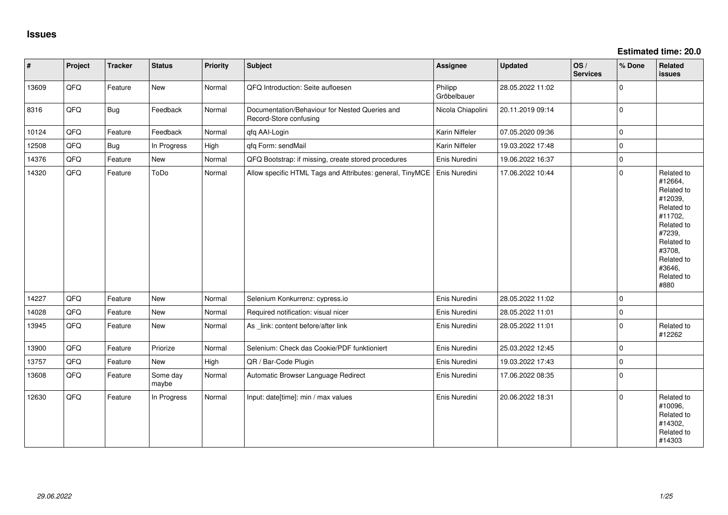| $\vert$ # | Project | <b>Tracker</b> | <b>Status</b>     | <b>Priority</b> | <b>Subject</b>                                                           | Assignee               | <b>Updated</b>   | OS/<br><b>Services</b> | % Done      | Related<br>issues                                                                                                                                                     |
|-----------|---------|----------------|-------------------|-----------------|--------------------------------------------------------------------------|------------------------|------------------|------------------------|-------------|-----------------------------------------------------------------------------------------------------------------------------------------------------------------------|
| 13609     | QFQ     | Feature        | New               | Normal          | QFQ Introduction: Seite aufloesen                                        | Philipp<br>Gröbelbauer | 28.05.2022 11:02 |                        | $\Omega$    |                                                                                                                                                                       |
| 8316      | QFQ     | <b>Bug</b>     | Feedback          | Normal          | Documentation/Behaviour for Nested Queries and<br>Record-Store confusing | Nicola Chiapolini      | 20.11.2019 09:14 |                        | $\Omega$    |                                                                                                                                                                       |
| 10124     | QFQ     | Feature        | Feedback          | Normal          | qfq AAI-Login                                                            | Karin Niffeler         | 07.05.2020 09:36 |                        | $\mathbf 0$ |                                                                                                                                                                       |
| 12508     | QFQ     | <b>Bug</b>     | In Progress       | High            | qfq Form: sendMail                                                       | Karin Niffeler         | 19.03.2022 17:48 |                        | $\Omega$    |                                                                                                                                                                       |
| 14376     | QFQ     | Feature        | New               | Normal          | QFQ Bootstrap: if missing, create stored procedures                      | Enis Nuredini          | 19.06.2022 16:37 |                        | $\mathbf 0$ |                                                                                                                                                                       |
| 14320     | QFQ     | Feature        | ToDo              | Normal          | Allow specific HTML Tags and Attributes: general, TinyMCE                | Enis Nuredini          | 17.06.2022 10:44 |                        | $\Omega$    | Related to<br>#12664,<br>Related to<br>#12039,<br>Related to<br>#11702,<br>Related to<br>#7239,<br>Related to<br>#3708,<br>Related to<br>#3646,<br>Related to<br>#880 |
| 14227     | QFQ     | Feature        | New               | Normal          | Selenium Konkurrenz: cypress.io                                          | Enis Nuredini          | 28.05.2022 11:02 |                        | $\mathbf 0$ |                                                                                                                                                                       |
| 14028     | QFQ     | Feature        | New               | Normal          | Required notification: visual nicer                                      | Enis Nuredini          | 28.05.2022 11:01 |                        | $\Omega$    |                                                                                                                                                                       |
| 13945     | QFQ     | Feature        | New               | Normal          | As _link: content before/after link                                      | Enis Nuredini          | 28.05.2022 11:01 |                        | $\Omega$    | Related to<br>#12262                                                                                                                                                  |
| 13900     | QFQ     | Feature        | Priorize          | Normal          | Selenium: Check das Cookie/PDF funktioniert                              | Enis Nuredini          | 25.03.2022 12:45 |                        | $\Omega$    |                                                                                                                                                                       |
| 13757     | QFQ     | Feature        | New               | High            | QR / Bar-Code Plugin                                                     | Enis Nuredini          | 19.03.2022 17:43 |                        | $\Omega$    |                                                                                                                                                                       |
| 13608     | QFQ     | Feature        | Some day<br>maybe | Normal          | Automatic Browser Language Redirect                                      | Enis Nuredini          | 17.06.2022 08:35 |                        | $\Omega$    |                                                                                                                                                                       |
| 12630     | QFQ     | Feature        | In Progress       | Normal          | Input: date[time]: min / max values                                      | Enis Nuredini          | 20.06.2022 18:31 |                        | $\Omega$    | Related to<br>#10096,<br>Related to<br>#14302,<br>Related to<br>#14303                                                                                                |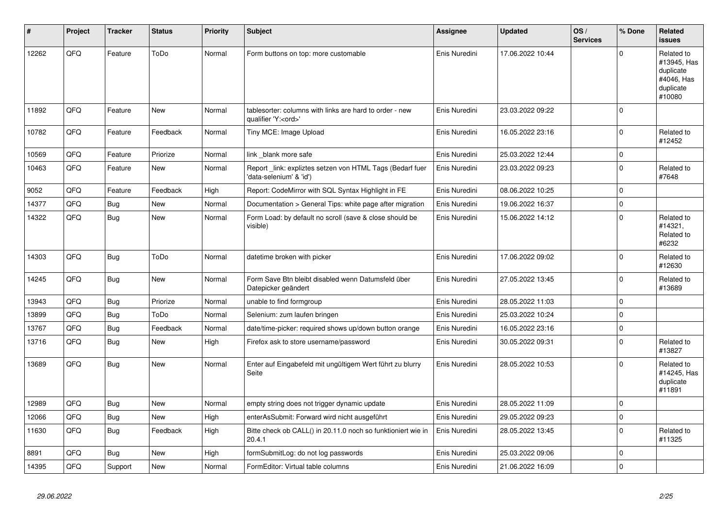| #     | Project | <b>Tracker</b> | <b>Status</b> | <b>Priority</b> | <b>Subject</b>                                                                        | <b>Assignee</b> | <b>Updated</b>   | OS/<br><b>Services</b> | % Done      | Related<br><b>issues</b>                                                    |
|-------|---------|----------------|---------------|-----------------|---------------------------------------------------------------------------------------|-----------------|------------------|------------------------|-------------|-----------------------------------------------------------------------------|
| 12262 | QFQ     | Feature        | ToDo          | Normal          | Form buttons on top: more customable                                                  | Enis Nuredini   | 17.06.2022 10:44 |                        | $\Omega$    | Related to<br>#13945, Has<br>duplicate<br>#4046, Has<br>duplicate<br>#10080 |
| 11892 | QFQ     | Feature        | <b>New</b>    | Normal          | tablesorter: columns with links are hard to order - new<br>qualifier 'Y: <ord>'</ord> | Enis Nuredini   | 23.03.2022 09:22 |                        | $\Omega$    |                                                                             |
| 10782 | QFQ     | Feature        | Feedback      | Normal          | Tiny MCE: Image Upload                                                                | Enis Nuredini   | 16.05.2022 23:16 |                        | $\Omega$    | Related to<br>#12452                                                        |
| 10569 | QFQ     | Feature        | Priorize      | Normal          | link _blank more safe                                                                 | Enis Nuredini   | 25.03.2022 12:44 |                        | $\Omega$    |                                                                             |
| 10463 | QFQ     | Feature        | New           | Normal          | Report _link: expliztes setzen von HTML Tags (Bedarf fuer<br>'data-selenium' & 'id')  | Enis Nuredini   | 23.03.2022 09:23 |                        | $\mathbf 0$ | Related to<br>#7648                                                         |
| 9052  | QFQ     | Feature        | Feedback      | High            | Report: CodeMirror with SQL Syntax Highlight in FE                                    | Enis Nuredini   | 08.06.2022 10:25 |                        | $\Omega$    |                                                                             |
| 14377 | QFQ     | <b>Bug</b>     | <b>New</b>    | Normal          | Documentation > General Tips: white page after migration                              | Enis Nuredini   | 19.06.2022 16:37 |                        | 0           |                                                                             |
| 14322 | QFQ     | Bug            | New           | Normal          | Form Load: by default no scroll (save & close should be<br>visible)                   | Enis Nuredini   | 15.06.2022 14:12 |                        | $\Omega$    | Related to<br>#14321,<br>Related to<br>#6232                                |
| 14303 | QFQ     | <b>Bug</b>     | ToDo          | Normal          | datetime broken with picker                                                           | Enis Nuredini   | 17.06.2022 09:02 |                        | $\Omega$    | Related to<br>#12630                                                        |
| 14245 | QFQ     | Bug            | <b>New</b>    | Normal          | Form Save Btn bleibt disabled wenn Datumsfeld über<br>Datepicker geändert             | Enis Nuredini   | 27.05.2022 13:45 |                        | $\Omega$    | Related to<br>#13689                                                        |
| 13943 | QFQ     | <b>Bug</b>     | Priorize      | Normal          | unable to find formgroup                                                              | Enis Nuredini   | 28.05.2022 11:03 |                        | $\Omega$    |                                                                             |
| 13899 | QFQ     | <b>Bug</b>     | ToDo          | Normal          | Selenium: zum laufen bringen                                                          | Enis Nuredini   | 25.03.2022 10:24 |                        | $\mathbf 0$ |                                                                             |
| 13767 | QFQ     | <b>Bug</b>     | Feedback      | Normal          | date/time-picker: required shows up/down button orange                                | Enis Nuredini   | 16.05.2022 23:16 |                        | $\Omega$    |                                                                             |
| 13716 | QFQ     | <b>Bug</b>     | <b>New</b>    | High            | Firefox ask to store username/password                                                | Enis Nuredini   | 30.05.2022 09:31 |                        | $\Omega$    | Related to<br>#13827                                                        |
| 13689 | QFQ     | <b>Bug</b>     | New           | Normal          | Enter auf Eingabefeld mit ungültigem Wert führt zu blurry<br>Seite                    | Enis Nuredini   | 28.05.2022 10:53 |                        | $\Omega$    | Related to<br>#14245, Has<br>duplicate<br>#11891                            |
| 12989 | QFQ     | Bug            | <b>New</b>    | Normal          | empty string does not trigger dynamic update                                          | Enis Nuredini   | 28.05.2022 11:09 |                        | $\Omega$    |                                                                             |
| 12066 | QFQ     | <b>Bug</b>     | <b>New</b>    | High            | enterAsSubmit: Forward wird nicht ausgeführt                                          | Enis Nuredini   | 29.05.2022 09:23 |                        | $\Omega$    |                                                                             |
| 11630 | QFQ     | Bug            | Feedback      | High            | Bitte check ob CALL() in 20.11.0 noch so funktioniert wie in<br>20.4.1                | Enis Nuredini   | 28.05.2022 13:45 |                        | $\Omega$    | Related to<br>#11325                                                        |
| 8891  | QFQ     | <b>Bug</b>     | <b>New</b>    | High            | formSubmitLog: do not log passwords                                                   | Enis Nuredini   | 25.03.2022 09:06 |                        | $\mathbf 0$ |                                                                             |
| 14395 | QFQ     | Support        | <b>New</b>    | Normal          | FormEditor: Virtual table columns                                                     | Enis Nuredini   | 21.06.2022 16:09 |                        | $\Omega$    |                                                                             |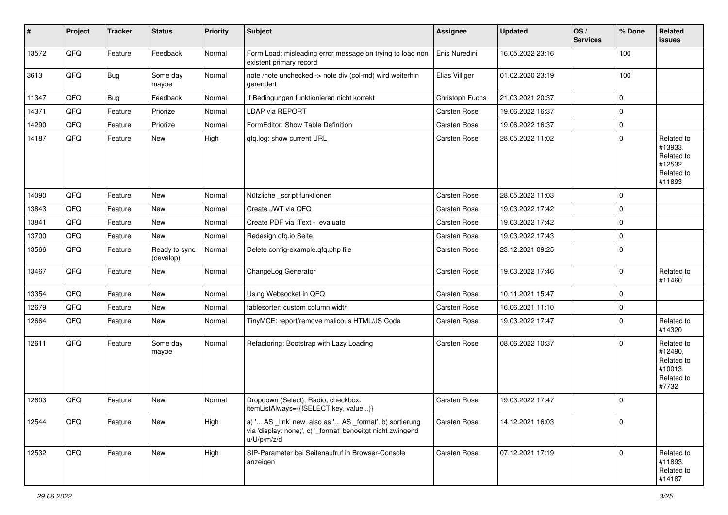| #     | Project | <b>Tracker</b> | <b>Status</b>              | <b>Priority</b> | <b>Subject</b>                                                                                                                        | <b>Assignee</b>     | <b>Updated</b>   | OS/<br><b>Services</b> | % Done      | Related<br>issues                                                      |
|-------|---------|----------------|----------------------------|-----------------|---------------------------------------------------------------------------------------------------------------------------------------|---------------------|------------------|------------------------|-------------|------------------------------------------------------------------------|
| 13572 | QFQ     | Feature        | Feedback                   | Normal          | Form Load: misleading error message on trying to load non<br>existent primary record                                                  | Enis Nuredini       | 16.05.2022 23:16 |                        | 100         |                                                                        |
| 3613  | QFQ     | Bug            | Some day<br>maybe          | Normal          | note /note unchecked -> note div (col-md) wird weiterhin<br>gerendert                                                                 | Elias Villiger      | 01.02.2020 23:19 |                        | 100         |                                                                        |
| 11347 | QFQ     | Bug            | Feedback                   | Normal          | If Bedingungen funktionieren nicht korrekt                                                                                            | Christoph Fuchs     | 21.03.2021 20:37 |                        | $\mathbf 0$ |                                                                        |
| 14371 | QFQ     | Feature        | Priorize                   | Normal          | <b>LDAP via REPORT</b>                                                                                                                | Carsten Rose        | 19.06.2022 16:37 |                        | $\Omega$    |                                                                        |
| 14290 | QFQ     | Feature        | Priorize                   | Normal          | FormEditor: Show Table Definition                                                                                                     | Carsten Rose        | 19.06.2022 16:37 |                        | $\Omega$    |                                                                        |
| 14187 | QFQ     | Feature        | New                        | High            | qfq.log: show current URL                                                                                                             | Carsten Rose        | 28.05.2022 11:02 |                        | $\Omega$    | Related to<br>#13933,<br>Related to<br>#12532,<br>Related to<br>#11893 |
| 14090 | QFQ     | Feature        | New                        | Normal          | Nützliche _script funktionen                                                                                                          | <b>Carsten Rose</b> | 28.05.2022 11:03 |                        | $\Omega$    |                                                                        |
| 13843 | QFQ     | Feature        | New                        | Normal          | Create JWT via QFQ                                                                                                                    | <b>Carsten Rose</b> | 19.03.2022 17:42 |                        | $\Omega$    |                                                                        |
| 13841 | QFQ     | Feature        | New                        | Normal          | Create PDF via iText - evaluate                                                                                                       | Carsten Rose        | 19.03.2022 17:42 |                        | $\mathbf 0$ |                                                                        |
| 13700 | QFQ     | Feature        | New                        | Normal          | Redesign qfq.io Seite                                                                                                                 | Carsten Rose        | 19.03.2022 17:43 |                        | $\Omega$    |                                                                        |
| 13566 | QFQ     | Feature        | Ready to sync<br>(develop) | Normal          | Delete config-example.qfq.php file                                                                                                    | Carsten Rose        | 23.12.2021 09:25 |                        | $\Omega$    |                                                                        |
| 13467 | QFQ     | Feature        | New                        | Normal          | ChangeLog Generator                                                                                                                   | Carsten Rose        | 19.03.2022 17:46 |                        | $\Omega$    | Related to<br>#11460                                                   |
| 13354 | QFQ     | Feature        | New                        | Normal          | Using Websocket in QFQ                                                                                                                | Carsten Rose        | 10.11.2021 15:47 |                        | $\Omega$    |                                                                        |
| 12679 | QFQ     | Feature        | New                        | Normal          | tablesorter: custom column width                                                                                                      | Carsten Rose        | 16.06.2021 11:10 |                        | $\Omega$    |                                                                        |
| 12664 | QFQ     | Feature        | New                        | Normal          | TinyMCE: report/remove malicous HTML/JS Code                                                                                          | Carsten Rose        | 19.03.2022 17:47 |                        | $\Omega$    | Related to<br>#14320                                                   |
| 12611 | QFQ     | Feature        | Some day<br>maybe          | Normal          | Refactoring: Bootstrap with Lazy Loading                                                                                              | Carsten Rose        | 08.06.2022 10:37 |                        | $\Omega$    | Related to<br>#12490,<br>Related to<br>#10013,<br>Related to<br>#7732  |
| 12603 | QFQ     | Feature        | New                        | Normal          | Dropdown (Select), Radio, checkbox:<br>itemListAlways={{!SELECT key, value}}                                                          | Carsten Rose        | 19.03.2022 17:47 |                        | $\Omega$    |                                                                        |
| 12544 | QFQ     | Feature        | New                        | High            | a) ' AS _link' new also as ' AS _format', b) sortierung<br>via 'display: none;', c) '_format' benoeitgt nicht zwingend<br>u/U/p/m/z/d | Carsten Rose        | 14.12.2021 16:03 |                        | $\mathbf 0$ |                                                                        |
| 12532 | QFQ     | Feature        | New                        | High            | SIP-Parameter bei Seitenaufruf in Browser-Console<br>anzeigen                                                                         | Carsten Rose        | 07.12.2021 17:19 |                        | $\Omega$    | Related to<br>#11893,<br>Related to<br>#14187                          |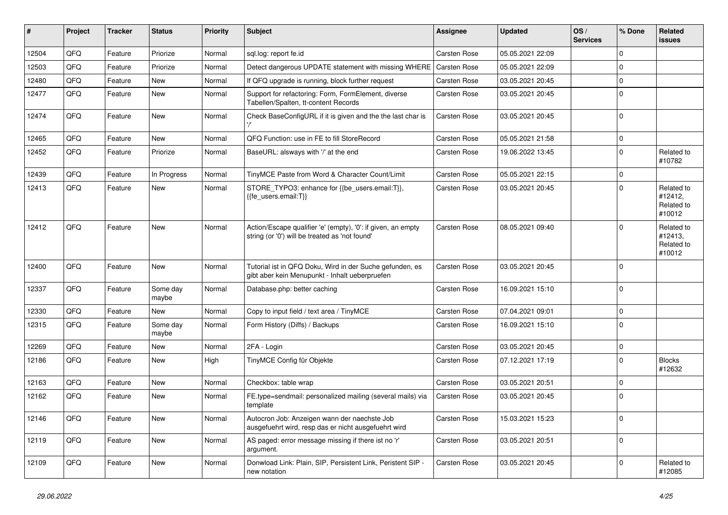| #     | Project | <b>Tracker</b> | <b>Status</b>     | <b>Priority</b> | Subject                                                                                                        | Assignee     | <b>Updated</b>   | OS/<br><b>Services</b> | % Done      | Related<br>issues                             |
|-------|---------|----------------|-------------------|-----------------|----------------------------------------------------------------------------------------------------------------|--------------|------------------|------------------------|-------------|-----------------------------------------------|
| 12504 | QFQ     | Feature        | Priorize          | Normal          | sql.log: report fe.id                                                                                          | Carsten Rose | 05.05.2021 22:09 |                        | $\Omega$    |                                               |
| 12503 | QFQ     | Feature        | Priorize          | Normal          | Detect dangerous UPDATE statement with missing WHERE                                                           | Carsten Rose | 05.05.2021 22:09 |                        | $\Omega$    |                                               |
| 12480 | QFQ     | Feature        | New               | Normal          | If QFQ upgrade is running, block further request                                                               | Carsten Rose | 03.05.2021 20:45 |                        | $\Omega$    |                                               |
| 12477 | QFQ     | Feature        | New               | Normal          | Support for refactoring: Form, FormElement, diverse<br>Tabellen/Spalten, tt-content Records                    | Carsten Rose | 03.05.2021 20:45 |                        | $\Omega$    |                                               |
| 12474 | QFQ     | Feature        | New               | Normal          | Check BaseConfigURL if it is given and the the last char is                                                    | Carsten Rose | 03.05.2021 20:45 |                        | $\Omega$    |                                               |
| 12465 | QFQ     | Feature        | New               | Normal          | QFQ Function: use in FE to fill StoreRecord                                                                    | Carsten Rose | 05.05.2021 21:58 |                        | $\Omega$    |                                               |
| 12452 | QFQ     | Feature        | Priorize          | Normal          | BaseURL: alsways with '/' at the end                                                                           | Carsten Rose | 19.06.2022 13:45 |                        | $\Omega$    | Related to<br>#10782                          |
| 12439 | QFQ     | Feature        | In Progress       | Normal          | TinyMCE Paste from Word & Character Count/Limit                                                                | Carsten Rose | 05.05.2021 22:15 |                        | $\mathbf 0$ |                                               |
| 12413 | QFQ     | Feature        | New               | Normal          | STORE_TYPO3: enhance for {{be_users.email:T}},<br>{{fe users.email:T}}                                         | Carsten Rose | 03.05.2021 20:45 |                        | $\Omega$    | Related to<br>#12412,<br>Related to<br>#10012 |
| 12412 | QFQ     | Feature        | New               | Normal          | Action/Escape qualifier 'e' (empty), '0': if given, an empty<br>string (or '0') will be treated as 'not found' | Carsten Rose | 08.05.2021 09:40 |                        | $\Omega$    | Related to<br>#12413,<br>Related to<br>#10012 |
| 12400 | QFQ     | Feature        | <b>New</b>        | Normal          | Tutorial ist in QFQ Doku, Wird in der Suche gefunden, es<br>gibt aber kein Menupunkt - Inhalt ueberpruefen     | Carsten Rose | 03.05.2021 20:45 |                        | $\Omega$    |                                               |
| 12337 | QFQ     | Feature        | Some day<br>maybe | Normal          | Database.php: better caching                                                                                   | Carsten Rose | 16.09.2021 15:10 |                        | $\Omega$    |                                               |
| 12330 | QFQ     | Feature        | New               | Normal          | Copy to input field / text area / TinyMCE                                                                      | Carsten Rose | 07.04.2021 09:01 |                        | $\Omega$    |                                               |
| 12315 | QFQ     | Feature        | Some day<br>maybe | Normal          | Form History (Diffs) / Backups                                                                                 | Carsten Rose | 16.09.2021 15:10 |                        | $\Omega$    |                                               |
| 12269 | QFQ     | Feature        | New               | Normal          | 2FA - Login                                                                                                    | Carsten Rose | 03.05.2021 20:45 |                        | $\mathbf 0$ |                                               |
| 12186 | QFQ     | Feature        | New               | High            | TinyMCE Config für Objekte                                                                                     | Carsten Rose | 07.12.2021 17:19 |                        | $\Omega$    | <b>Blocks</b><br>#12632                       |
| 12163 | QFQ     | Feature        | New               | Normal          | Checkbox: table wrap                                                                                           | Carsten Rose | 03.05.2021 20:51 |                        | $\Omega$    |                                               |
| 12162 | QFQ     | Feature        | New               | Normal          | FE.type=sendmail: personalized mailing (several mails) via<br>template                                         | Carsten Rose | 03.05.2021 20:45 |                        | $\mathbf 0$ |                                               |
| 12146 | QFQ     | Feature        | New               | Normal          | Autocron Job: Anzeigen wann der naechste Job<br>ausgefuehrt wird, resp das er nicht ausgefuehrt wird           | Carsten Rose | 15.03.2021 15:23 |                        | $\mathbf 0$ |                                               |
| 12119 | QFQ     | Feature        | New               | Normal          | AS paged: error message missing if there ist no 'r'<br>argument.                                               | Carsten Rose | 03.05.2021 20:51 |                        | $\mathbf 0$ |                                               |
| 12109 | QFQ     | Feature        | New               | Normal          | Donwload Link: Plain, SIP, Persistent Link, Peristent SIP -<br>new notation                                    | Carsten Rose | 03.05.2021 20:45 |                        | $\pmb{0}$   | Related to<br>#12085                          |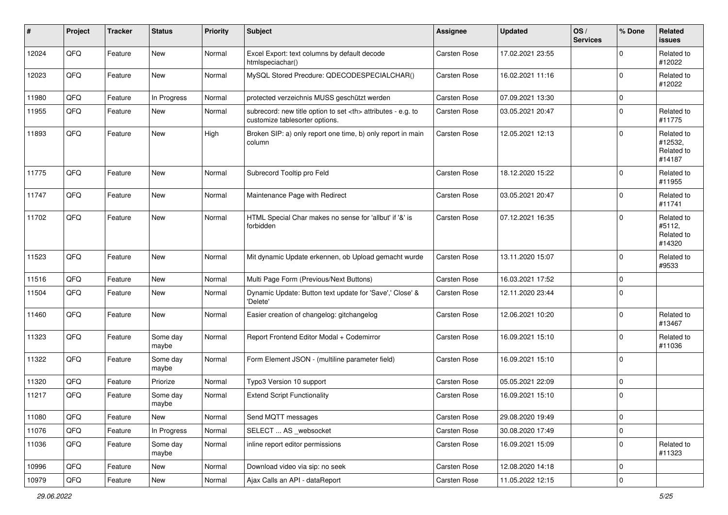| ∦     | Project | <b>Tracker</b> | <b>Status</b>     | <b>Priority</b> | Subject                                                                                              | <b>Assignee</b>                                        | <b>Updated</b>   | OS/<br><b>Services</b> | % Done      | <b>Related</b><br>issues                      |                      |
|-------|---------|----------------|-------------------|-----------------|------------------------------------------------------------------------------------------------------|--------------------------------------------------------|------------------|------------------------|-------------|-----------------------------------------------|----------------------|
| 12024 | QFQ     | Feature        | New               | Normal          | Excel Export: text columns by default decode<br>htmlspeciachar()                                     | Carsten Rose                                           | 17.02.2021 23:55 |                        | $\Omega$    | Related to<br>#12022                          |                      |
| 12023 | QFQ     | Feature        | New               | Normal          | MySQL Stored Precdure: QDECODESPECIALCHAR()                                                          | Carsten Rose                                           | 16.02.2021 11:16 |                        | $\Omega$    | Related to<br>#12022                          |                      |
| 11980 | QFQ     | Feature        | In Progress       | Normal          | protected verzeichnis MUSS geschützt werden                                                          | Carsten Rose                                           | 07.09.2021 13:30 |                        | 0           |                                               |                      |
| 11955 | QFQ     | Feature        | New               | Normal          | subrecord: new title option to set <th> attributes - e.g. to<br/>customize tablesorter options.</th> | attributes - e.g. to<br>customize tablesorter options. | Carsten Rose     | 03.05.2021 20:47       |             | $\Omega$                                      | Related to<br>#11775 |
| 11893 | QFQ     | Feature        | <b>New</b>        | High            | Broken SIP: a) only report one time, b) only report in main<br>column                                | Carsten Rose                                           | 12.05.2021 12:13 |                        | $\Omega$    | Related to<br>#12532,<br>Related to<br>#14187 |                      |
| 11775 | QFQ     | Feature        | <b>New</b>        | Normal          | Subrecord Tooltip pro Feld                                                                           | Carsten Rose                                           | 18.12.2020 15:22 |                        | $\mathbf 0$ | Related to<br>#11955                          |                      |
| 11747 | QFQ     | Feature        | <b>New</b>        | Normal          | Maintenance Page with Redirect                                                                       | Carsten Rose                                           | 03.05.2021 20:47 |                        | $\mathbf 0$ | Related to<br>#11741                          |                      |
| 11702 | QFQ     | Feature        | <b>New</b>        | Normal          | HTML Special Char makes no sense for 'allbut' if '&' is<br>forbidden                                 | Carsten Rose                                           | 07.12.2021 16:35 |                        | $\mathbf 0$ | Related to<br>#5112,<br>Related to<br>#14320  |                      |
| 11523 | QFQ     | Feature        | New               | Normal          | Mit dynamic Update erkennen, ob Upload gemacht wurde                                                 | Carsten Rose                                           | 13.11.2020 15:07 |                        | $\Omega$    | Related to<br>#9533                           |                      |
| 11516 | QFQ     | Feature        | <b>New</b>        | Normal          | Multi Page Form (Previous/Next Buttons)                                                              | Carsten Rose                                           | 16.03.2021 17:52 |                        | 0           |                                               |                      |
| 11504 | QFQ     | Feature        | New               | Normal          | Dynamic Update: Button text update for 'Save',' Close' &<br>'Delete'                                 | Carsten Rose                                           | 12.11.2020 23:44 |                        | $\mathbf 0$ |                                               |                      |
| 11460 | QFQ     | Feature        | <b>New</b>        | Normal          | Easier creation of changelog: gitchangelog                                                           | Carsten Rose                                           | 12.06.2021 10:20 |                        | $\Omega$    | Related to<br>#13467                          |                      |
| 11323 | QFQ     | Feature        | Some day<br>maybe | Normal          | Report Frontend Editor Modal + Codemirror                                                            | Carsten Rose                                           | 16.09.2021 15:10 |                        | $\mathbf 0$ | Related to<br>#11036                          |                      |
| 11322 | QFQ     | Feature        | Some day<br>maybe | Normal          | Form Element JSON - (multiline parameter field)                                                      | Carsten Rose                                           | 16.09.2021 15:10 |                        | $\Omega$    |                                               |                      |
| 11320 | QFQ     | Feature        | Priorize          | Normal          | Typo3 Version 10 support                                                                             | Carsten Rose                                           | 05.05.2021 22:09 |                        | 0           |                                               |                      |
| 11217 | QFQ     | Feature        | Some day<br>maybe | Normal          | <b>Extend Script Functionality</b>                                                                   | Carsten Rose                                           | 16.09.2021 15:10 |                        | $\mathbf 0$ |                                               |                      |
| 11080 | QFQ     | Feature        | New               | Normal          | Send MQTT messages                                                                                   | Carsten Rose                                           | 29.08.2020 19:49 |                        | $\pmb{0}$   |                                               |                      |
| 11076 | QFQ     | Feature        | In Progress       | Normal          | SELECT  AS _websocket                                                                                | Carsten Rose                                           | 30.08.2020 17:49 |                        | 0           |                                               |                      |
| 11036 | QFQ     | Feature        | Some day<br>maybe | Normal          | inline report editor permissions                                                                     | Carsten Rose                                           | 16.09.2021 15:09 |                        | 0           | Related to<br>#11323                          |                      |
| 10996 | QFQ     | Feature        | New               | Normal          | Download video via sip: no seek                                                                      | Carsten Rose                                           | 12.08.2020 14:18 |                        | 0           |                                               |                      |
| 10979 | QFG     | Feature        | New               | Normal          | Ajax Calls an API - dataReport                                                                       | Carsten Rose                                           | 11.05.2022 12:15 |                        | $\pmb{0}$   |                                               |                      |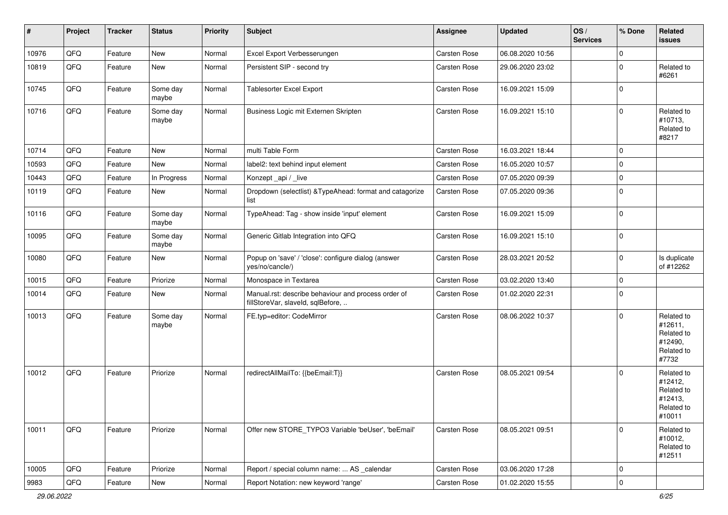| #     | Project | <b>Tracker</b> | <b>Status</b>     | <b>Priority</b> | <b>Subject</b>                                                                           | <b>Assignee</b>     | <b>Updated</b>   | OS/<br><b>Services</b> | % Done      | Related<br>issues                                                      |
|-------|---------|----------------|-------------------|-----------------|------------------------------------------------------------------------------------------|---------------------|------------------|------------------------|-------------|------------------------------------------------------------------------|
| 10976 | QFQ     | Feature        | New               | Normal          | Excel Export Verbesserungen                                                              | Carsten Rose        | 06.08.2020 10:56 |                        | $\mathbf 0$ |                                                                        |
| 10819 | QFQ     | Feature        | New               | Normal          | Persistent SIP - second try                                                              | Carsten Rose        | 29.06.2020 23:02 |                        | $\mathbf 0$ | Related to<br>#6261                                                    |
| 10745 | QFQ     | Feature        | Some day<br>maybe | Normal          | Tablesorter Excel Export                                                                 | Carsten Rose        | 16.09.2021 15:09 |                        | $\Omega$    |                                                                        |
| 10716 | QFQ     | Feature        | Some day<br>maybe | Normal          | Business Logic mit Externen Skripten                                                     | Carsten Rose        | 16.09.2021 15:10 |                        | $\Omega$    | Related to<br>#10713,<br>Related to<br>#8217                           |
| 10714 | QFQ     | Feature        | New               | Normal          | multi Table Form                                                                         | Carsten Rose        | 16.03.2021 18:44 |                        | $\Omega$    |                                                                        |
| 10593 | QFQ     | Feature        | New               | Normal          | label2: text behind input element                                                        | Carsten Rose        | 16.05.2020 10:57 |                        | $\Omega$    |                                                                        |
| 10443 | QFQ     | Feature        | In Progress       | Normal          | Konzept_api / _live                                                                      | Carsten Rose        | 07.05.2020 09:39 |                        | $\Omega$    |                                                                        |
| 10119 | QFQ     | Feature        | New               | Normal          | Dropdown (selectlist) & TypeAhead: format and catagorize<br>list                         | Carsten Rose        | 07.05.2020 09:36 |                        | $\Omega$    |                                                                        |
| 10116 | QFQ     | Feature        | Some day<br>maybe | Normal          | TypeAhead: Tag - show inside 'input' element                                             | Carsten Rose        | 16.09.2021 15:09 |                        | $\Omega$    |                                                                        |
| 10095 | QFQ     | Feature        | Some day<br>maybe | Normal          | Generic Gitlab Integration into QFQ                                                      | Carsten Rose        | 16.09.2021 15:10 |                        | $\Omega$    |                                                                        |
| 10080 | QFQ     | Feature        | New               | Normal          | Popup on 'save' / 'close': configure dialog (answer<br>yes/no/cancle/)                   | Carsten Rose        | 28.03.2021 20:52 |                        | $\Omega$    | Is duplicate<br>of #12262                                              |
| 10015 | QFQ     | Feature        | Priorize          | Normal          | Monospace in Textarea                                                                    | Carsten Rose        | 03.02.2020 13:40 |                        | $\Omega$    |                                                                        |
| 10014 | QFQ     | Feature        | New               | Normal          | Manual.rst: describe behaviour and process order of<br>fillStoreVar, slaveId, sqlBefore, | Carsten Rose        | 01.02.2020 22:31 |                        | $\Omega$    |                                                                        |
| 10013 | QFQ     | Feature        | Some day<br>maybe | Normal          | FE.typ=editor: CodeMirror                                                                | Carsten Rose        | 08.06.2022 10:37 |                        | $\Omega$    | Related to<br>#12611,<br>Related to<br>#12490,<br>Related to<br>#7732  |
| 10012 | QFQ     | Feature        | Priorize          | Normal          | redirectAllMailTo: {{beEmail:T}}                                                         | <b>Carsten Rose</b> | 08.05.2021 09:54 |                        | $\Omega$    | Related to<br>#12412,<br>Related to<br>#12413,<br>Related to<br>#10011 |
| 10011 | QFO     | Feature        | Priorize          | Normal          | Offer new STORE_TYPO3 Variable 'beUser', 'beEmail'                                       | Carsten Rose        | 08.05.2021 09:51 |                        | $\Omega$    | Related to<br>#10012,<br>Related to<br>#12511                          |
| 10005 | QFO     | Feature        | Priorize          | Normal          | Report / special column name:  AS _calendar                                              | Carsten Rose        | 03.06.2020 17:28 |                        | $\mathbf 0$ |                                                                        |
| 9983  | QFQ     | Feature        | New               | Normal          | Report Notation: new keyword 'range'                                                     | Carsten Rose        | 01.02.2020 15:55 |                        | $\pmb{0}$   |                                                                        |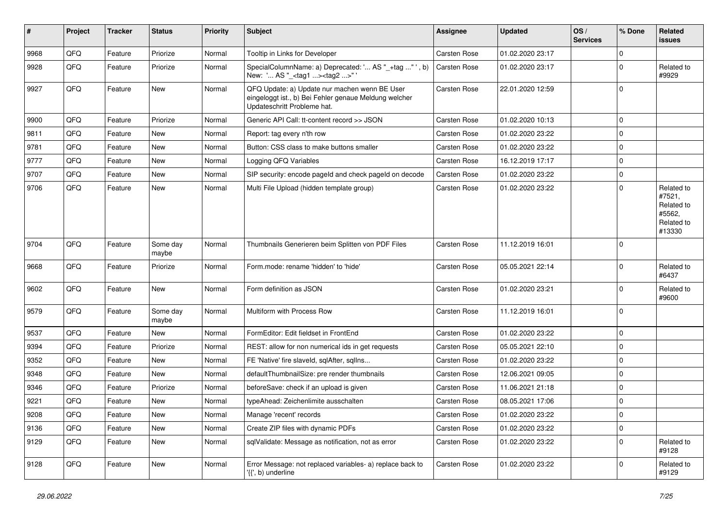| $\sharp$ | Project | <b>Tracker</b> | <b>Status</b>     | <b>Priority</b> | Subject                                                                                                                               | Assignee     | <b>Updated</b>   | OS/<br><b>Services</b> | % Done      | Related<br>issues                                                    |
|----------|---------|----------------|-------------------|-----------------|---------------------------------------------------------------------------------------------------------------------------------------|--------------|------------------|------------------------|-------------|----------------------------------------------------------------------|
| 9968     | QFQ     | Feature        | Priorize          | Normal          | Tooltip in Links for Developer                                                                                                        | Carsten Rose | 01.02.2020 23:17 |                        | $\mathbf 0$ |                                                                      |
| 9928     | QFQ     | Feature        | Priorize          | Normal          | SpecialColumnName: a) Deprecated: ' AS "_+tag " ', b)<br>New: ' AS "_ <tag1><tag2>"</tag2></tag1>                                     | Carsten Rose | 01.02.2020 23:17 |                        | $\Omega$    | Related to<br>#9929                                                  |
| 9927     | QFQ     | Feature        | New               | Normal          | QFQ Update: a) Update nur machen wenn BE User<br>eingeloggt ist., b) Bei Fehler genaue Meldung welcher<br>Updateschritt Probleme hat. | Carsten Rose | 22.01.2020 12:59 |                        | $\Omega$    |                                                                      |
| 9900     | QFQ     | Feature        | Priorize          | Normal          | Generic API Call: tt-content record >> JSON                                                                                           | Carsten Rose | 01.02.2020 10:13 |                        | $\mathbf 0$ |                                                                      |
| 9811     | QFQ     | Feature        | New               | Normal          | Report: tag every n'th row                                                                                                            | Carsten Rose | 01.02.2020 23:22 |                        | $\Omega$    |                                                                      |
| 9781     | QFQ     | Feature        | New               | Normal          | Button: CSS class to make buttons smaller                                                                                             | Carsten Rose | 01.02.2020 23:22 |                        | $\Omega$    |                                                                      |
| 9777     | QFQ     | Feature        | New               | Normal          | Logging QFQ Variables                                                                                                                 | Carsten Rose | 16.12.2019 17:17 |                        | $\mathbf 0$ |                                                                      |
| 9707     | QFQ     | Feature        | New               | Normal          | SIP security: encode pageId and check pageId on decode                                                                                | Carsten Rose | 01.02.2020 23:22 |                        | $\Omega$    |                                                                      |
| 9706     | QFQ     | Feature        | New               | Normal          | Multi File Upload (hidden template group)                                                                                             | Carsten Rose | 01.02.2020 23:22 |                        | $\Omega$    | Related to<br>#7521,<br>Related to<br>#5562,<br>Related to<br>#13330 |
| 9704     | QFQ     | Feature        | Some day<br>maybe | Normal          | Thumbnails Generieren beim Splitten von PDF Files                                                                                     | Carsten Rose | 11.12.2019 16:01 |                        | $\Omega$    |                                                                      |
| 9668     | QFQ     | Feature        | Priorize          | Normal          | Form.mode: rename 'hidden' to 'hide'                                                                                                  | Carsten Rose | 05.05.2021 22:14 |                        | $\Omega$    | Related to<br>#6437                                                  |
| 9602     | QFQ     | Feature        | New               | Normal          | Form definition as JSON                                                                                                               | Carsten Rose | 01.02.2020 23:21 |                        | $\Omega$    | Related to<br>#9600                                                  |
| 9579     | QFQ     | Feature        | Some day<br>maybe | Normal          | Multiform with Process Row                                                                                                            | Carsten Rose | 11.12.2019 16:01 |                        | $\mathbf 0$ |                                                                      |
| 9537     | QFQ     | Feature        | New               | Normal          | FormEditor: Edit fieldset in FrontEnd                                                                                                 | Carsten Rose | 01.02.2020 23:22 |                        | $\Omega$    |                                                                      |
| 9394     | QFQ     | Feature        | Priorize          | Normal          | REST: allow for non numerical ids in get requests                                                                                     | Carsten Rose | 05.05.2021 22:10 |                        | $\Omega$    |                                                                      |
| 9352     | QFQ     | Feature        | New               | Normal          | FE 'Native' fire slaveld, sglAfter, sglIns                                                                                            | Carsten Rose | 01.02.2020 23:22 |                        | $\mathbf 0$ |                                                                      |
| 9348     | QFQ     | Feature        | New               | Normal          | defaultThumbnailSize: pre render thumbnails                                                                                           | Carsten Rose | 12.06.2021 09:05 |                        | $\mathbf 0$ |                                                                      |
| 9346     | QFQ     | Feature        | Priorize          | Normal          | beforeSave: check if an upload is given                                                                                               | Carsten Rose | 11.06.2021 21:18 |                        | $\Omega$    |                                                                      |
| 9221     | QFQ     | Feature        | New               | Normal          | typeAhead: Zeichenlimite ausschalten                                                                                                  | Carsten Rose | 08.05.2021 17:06 |                        | $\Omega$    |                                                                      |
| 9208     | QFQ     | Feature        | New               | Normal          | Manage 'recent' records                                                                                                               | Carsten Rose | 01.02.2020 23:22 |                        | 0           |                                                                      |
| 9136     | QFQ     | Feature        | New               | Normal          | Create ZIP files with dynamic PDFs                                                                                                    | Carsten Rose | 01.02.2020 23:22 |                        | $\mathbf 0$ |                                                                      |
| 9129     | QFQ     | Feature        | New               | Normal          | sqlValidate: Message as notification, not as error                                                                                    | Carsten Rose | 01.02.2020 23:22 |                        | 0           | Related to<br>#9128                                                  |
| 9128     | QFQ     | Feature        | New               | Normal          | Error Message: not replaced variables- a) replace back to<br>'{{', b) underline                                                       | Carsten Rose | 01.02.2020 23:22 |                        | $\mathbf 0$ | Related to<br>#9129                                                  |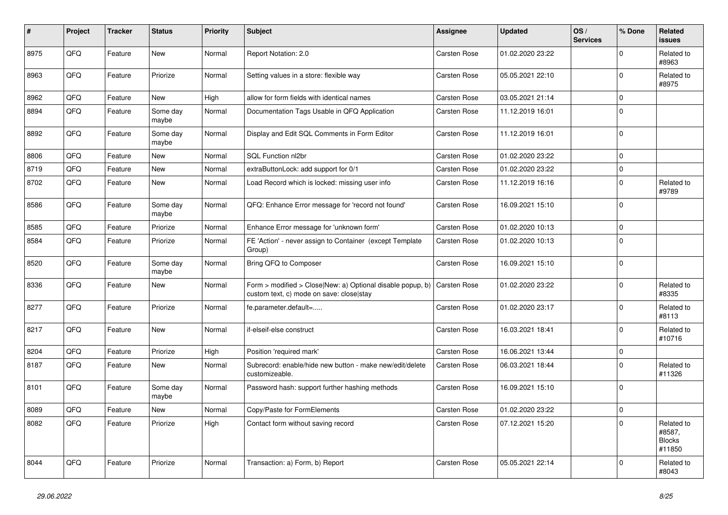| #    | Project | <b>Tracker</b> | <b>Status</b>     | <b>Priority</b> | <b>Subject</b>                                                                                         | <b>Assignee</b>     | <b>Updated</b>   | OS/<br><b>Services</b> | % Done      | Related<br><b>issues</b>                        |
|------|---------|----------------|-------------------|-----------------|--------------------------------------------------------------------------------------------------------|---------------------|------------------|------------------------|-------------|-------------------------------------------------|
| 8975 | QFQ     | Feature        | New               | Normal          | Report Notation: 2.0                                                                                   | Carsten Rose        | 01.02.2020 23:22 |                        | $\Omega$    | Related to<br>#8963                             |
| 8963 | QFQ     | Feature        | Priorize          | Normal          | Setting values in a store: flexible way                                                                | Carsten Rose        | 05.05.2021 22:10 |                        | $\mathbf 0$ | Related to<br>#8975                             |
| 8962 | QFQ     | Feature        | New               | High            | allow for form fields with identical names                                                             | <b>Carsten Rose</b> | 03.05.2021 21:14 |                        | $\mathbf 0$ |                                                 |
| 8894 | QFQ     | Feature        | Some day<br>maybe | Normal          | Documentation Tags Usable in QFQ Application                                                           | Carsten Rose        | 11.12.2019 16:01 |                        | $\Omega$    |                                                 |
| 8892 | QFQ     | Feature        | Some day<br>maybe | Normal          | Display and Edit SQL Comments in Form Editor                                                           | Carsten Rose        | 11.12.2019 16:01 |                        | $\Omega$    |                                                 |
| 8806 | QFQ     | Feature        | <b>New</b>        | Normal          | SQL Function nl2br                                                                                     | Carsten Rose        | 01.02.2020 23:22 |                        | $\mathbf 0$ |                                                 |
| 8719 | QFQ     | Feature        | New               | Normal          | extraButtonLock: add support for 0/1                                                                   | Carsten Rose        | 01.02.2020 23:22 |                        | $\mathbf 0$ |                                                 |
| 8702 | QFQ     | Feature        | <b>New</b>        | Normal          | Load Record which is locked: missing user info                                                         | Carsten Rose        | 11.12.2019 16:16 |                        | $\mathbf 0$ | Related to<br>#9789                             |
| 8586 | QFQ     | Feature        | Some day<br>maybe | Normal          | QFQ: Enhance Error message for 'record not found'                                                      | Carsten Rose        | 16.09.2021 15:10 |                        | $\Omega$    |                                                 |
| 8585 | QFQ     | Feature        | Priorize          | Normal          | Enhance Error message for 'unknown form'                                                               | Carsten Rose        | 01.02.2020 10:13 |                        | $\mathbf 0$ |                                                 |
| 8584 | QFQ     | Feature        | Priorize          | Normal          | FE 'Action' - never assign to Container (except Template<br>Group)                                     | Carsten Rose        | 01.02.2020 10:13 |                        | $\mathbf 0$ |                                                 |
| 8520 | QFQ     | Feature        | Some day<br>maybe | Normal          | Bring QFQ to Composer                                                                                  | <b>Carsten Rose</b> | 16.09.2021 15:10 |                        | $\mathbf 0$ |                                                 |
| 8336 | QFQ     | Feature        | New               | Normal          | Form > modified > Close New: a) Optional disable popup, b)<br>custom text, c) mode on save: close stay | Carsten Rose        | 01.02.2020 23:22 |                        | $\Omega$    | Related to<br>#8335                             |
| 8277 | QFQ     | Feature        | Priorize          | Normal          | fe.parameter.default=                                                                                  | Carsten Rose        | 01.02.2020 23:17 |                        | $\mathbf 0$ | Related to<br>#8113                             |
| 8217 | QFQ     | Feature        | <b>New</b>        | Normal          | if-elseif-else construct                                                                               | Carsten Rose        | 16.03.2021 18:41 |                        | $\mathbf 0$ | Related to<br>#10716                            |
| 8204 | QFQ     | Feature        | Priorize          | High            | Position 'required mark'                                                                               | Carsten Rose        | 16.06.2021 13:44 |                        | $\mathbf 0$ |                                                 |
| 8187 | QFQ     | Feature        | New               | Normal          | Subrecord: enable/hide new button - make new/edit/delete<br>customizeable.                             | Carsten Rose        | 06.03.2021 18:44 |                        | $\mathbf 0$ | Related to<br>#11326                            |
| 8101 | QFQ     | Feature        | Some day<br>maybe | Normal          | Password hash: support further hashing methods                                                         | Carsten Rose        | 16.09.2021 15:10 |                        | $\Omega$    |                                                 |
| 8089 | QFQ     | Feature        | <b>New</b>        | Normal          | Copy/Paste for FormElements                                                                            | Carsten Rose        | 01.02.2020 23:22 |                        | $\pmb{0}$   |                                                 |
| 8082 | QFQ     | Feature        | Priorize          | High            | Contact form without saving record                                                                     | <b>Carsten Rose</b> | 07.12.2021 15:20 |                        | $\Omega$    | Related to<br>#8587,<br><b>Blocks</b><br>#11850 |
| 8044 | QFQ     | Feature        | Priorize          | Normal          | Transaction: a) Form, b) Report                                                                        | Carsten Rose        | 05.05.2021 22:14 |                        | $\mathbf 0$ | Related to<br>#8043                             |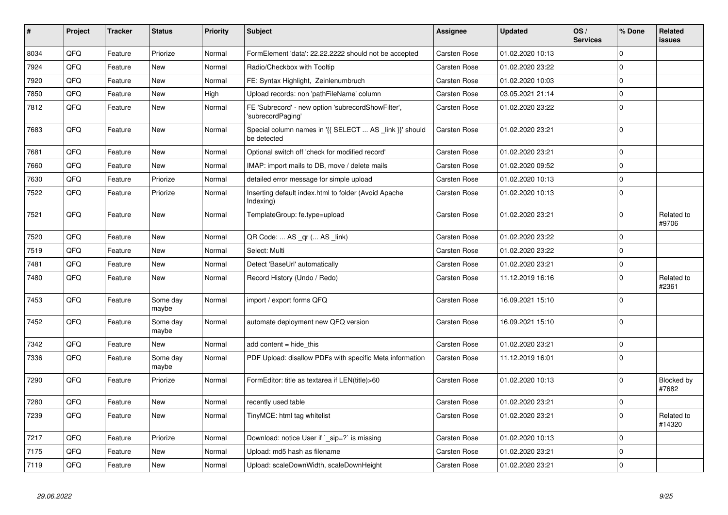| #    | Project | <b>Tracker</b> | <b>Status</b>     | <b>Priority</b> | <b>Subject</b>                                                          | Assignee            | <b>Updated</b>   | OS/<br><b>Services</b> | % Done      | Related<br><b>issues</b> |
|------|---------|----------------|-------------------|-----------------|-------------------------------------------------------------------------|---------------------|------------------|------------------------|-------------|--------------------------|
| 8034 | QFQ     | Feature        | Priorize          | Normal          | FormElement 'data': 22.22.2222 should not be accepted                   | Carsten Rose        | 01.02.2020 10:13 |                        | $\Omega$    |                          |
| 7924 | QFQ     | Feature        | <b>New</b>        | Normal          | Radio/Checkbox with Tooltip                                             | Carsten Rose        | 01.02.2020 23:22 |                        | $\Omega$    |                          |
| 7920 | QFQ     | Feature        | <b>New</b>        | Normal          | FE: Syntax Highlight, Zeinlenumbruch                                    | Carsten Rose        | 01.02.2020 10:03 |                        | $\mathbf 0$ |                          |
| 7850 | QFQ     | Feature        | New               | High            | Upload records: non 'pathFileName' column                               | <b>Carsten Rose</b> | 03.05.2021 21:14 |                        | $\mathbf 0$ |                          |
| 7812 | QFQ     | Feature        | <b>New</b>        | Normal          | FE 'Subrecord' - new option 'subrecordShowFilter',<br>'subrecordPaging' | Carsten Rose        | 01.02.2020 23:22 |                        | $\Omega$    |                          |
| 7683 | QFQ     | Feature        | New               | Normal          | Special column names in '{{ SELECT  AS _link }}' should<br>be detected  | Carsten Rose        | 01.02.2020 23:21 |                        | $\mathbf 0$ |                          |
| 7681 | QFQ     | Feature        | <b>New</b>        | Normal          | Optional switch off 'check for modified record'                         | Carsten Rose        | 01.02.2020 23:21 |                        | $\mathbf 0$ |                          |
| 7660 | QFQ     | Feature        | New               | Normal          | IMAP: import mails to DB, move / delete mails                           | Carsten Rose        | 01.02.2020 09:52 |                        | $\mathbf 0$ |                          |
| 7630 | QFQ     | Feature        | Priorize          | Normal          | detailed error message for simple upload                                | Carsten Rose        | 01.02.2020 10:13 |                        | $\mathbf 0$ |                          |
| 7522 | QFQ     | Feature        | Priorize          | Normal          | Inserting default index.html to folder (Avoid Apache<br>Indexing)       | Carsten Rose        | 01.02.2020 10:13 |                        | $\mathbf 0$ |                          |
| 7521 | QFQ     | Feature        | New               | Normal          | TemplateGroup: fe.type=upload                                           | Carsten Rose        | 01.02.2020 23:21 |                        | $\mathbf 0$ | Related to<br>#9706      |
| 7520 | QFQ     | Feature        | <b>New</b>        | Normal          | QR Code:  AS _qr ( AS _link)                                            | <b>Carsten Rose</b> | 01.02.2020 23:22 |                        | $\Omega$    |                          |
| 7519 | QFQ     | Feature        | New               | Normal          | Select: Multi                                                           | Carsten Rose        | 01.02.2020 23:22 |                        | $\mathbf 0$ |                          |
| 7481 | QFQ     | Feature        | New               | Normal          | Detect 'BaseUrl' automatically                                          | Carsten Rose        | 01.02.2020 23:21 |                        | $\mathbf 0$ |                          |
| 7480 | QFQ     | Feature        | New               | Normal          | Record History (Undo / Redo)                                            | Carsten Rose        | 11.12.2019 16:16 |                        | $\mathbf 0$ | Related to<br>#2361      |
| 7453 | QFQ     | Feature        | Some dav<br>maybe | Normal          | import / export forms QFQ                                               | Carsten Rose        | 16.09.2021 15:10 |                        | $\Omega$    |                          |
| 7452 | QFQ     | Feature        | Some day<br>maybe | Normal          | automate deployment new QFQ version                                     | Carsten Rose        | 16.09.2021 15:10 |                        | $\mathbf 0$ |                          |
| 7342 | QFQ     | Feature        | <b>New</b>        | Normal          | add content = hide this                                                 | <b>Carsten Rose</b> | 01.02.2020 23:21 |                        | $\mathbf 0$ |                          |
| 7336 | QFQ     | Feature        | Some day<br>maybe | Normal          | PDF Upload: disallow PDFs with specific Meta information                | Carsten Rose        | 11.12.2019 16:01 |                        | $\mathbf 0$ |                          |
| 7290 | QFQ     | Feature        | Priorize          | Normal          | FormEditor: title as textarea if LEN(title)>60                          | Carsten Rose        | 01.02.2020 10:13 |                        | $\mathbf 0$ | Blocked by<br>#7682      |
| 7280 | QFQ     | Feature        | <b>New</b>        | Normal          | recently used table                                                     | Carsten Rose        | 01.02.2020 23:21 |                        | $\mathbf 0$ |                          |
| 7239 | QFQ     | Feature        | New               | Normal          | TinyMCE: html tag whitelist                                             | Carsten Rose        | 01.02.2020 23:21 |                        | $\mathbf 0$ | Related to<br>#14320     |
| 7217 | QFQ     | Feature        | Priorize          | Normal          | Download: notice User if `_sip=?` is missing                            | Carsten Rose        | 01.02.2020 10:13 |                        | $\mathbf 0$ |                          |
| 7175 | QFQ     | Feature        | <b>New</b>        | Normal          | Upload: md5 hash as filename                                            | Carsten Rose        | 01.02.2020 23:21 |                        | $\Omega$    |                          |
| 7119 | QFQ     | Feature        | New               | Normal          | Upload: scaleDownWidth, scaleDownHeight                                 | Carsten Rose        | 01.02.2020 23:21 |                        | $\mathbf 0$ |                          |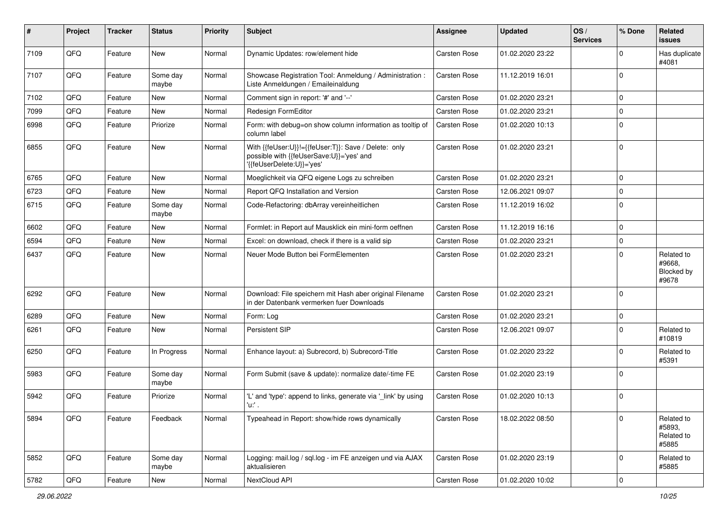| ∦    | Project        | <b>Tracker</b> | <b>Status</b>     | <b>Priority</b> | Subject                                                                                                                      | <b>Assignee</b> | <b>Updated</b>   | OS/<br><b>Services</b> | % Done      | Related<br>issues                           |
|------|----------------|----------------|-------------------|-----------------|------------------------------------------------------------------------------------------------------------------------------|-----------------|------------------|------------------------|-------------|---------------------------------------------|
| 7109 | QFQ            | Feature        | New               | Normal          | Dynamic Updates: row/element hide                                                                                            | Carsten Rose    | 01.02.2020 23:22 |                        | $\Omega$    | Has duplicate<br>#4081                      |
| 7107 | QFQ            | Feature        | Some day<br>maybe | Normal          | Showcase Registration Tool: Anmeldung / Administration :<br>Liste Anmeldungen / Emaileinaldung                               | Carsten Rose    | 11.12.2019 16:01 |                        | $\mathbf 0$ |                                             |
| 7102 | QFQ            | Feature        | New               | Normal          | Comment sign in report: '#' and '--'                                                                                         | Carsten Rose    | 01.02.2020 23:21 |                        | $\mathbf 0$ |                                             |
| 7099 | QFQ            | Feature        | New               | Normal          | Redesign FormEditor                                                                                                          | Carsten Rose    | 01.02.2020 23:21 |                        | $\mathbf 0$ |                                             |
| 6998 | QFQ            | Feature        | Priorize          | Normal          | Form: with debug=on show column information as tooltip of<br>column label                                                    | Carsten Rose    | 01.02.2020 10:13 |                        | $\mathbf 0$ |                                             |
| 6855 | QFQ            | Feature        | <b>New</b>        | Normal          | With {{feUser:U}}!={{feUser:T}}: Save / Delete: only<br>possible with {{feUserSave:U}}='yes' and<br>'{feUserDelete:U}}='yes' | Carsten Rose    | 01.02.2020 23:21 |                        | $\mathbf 0$ |                                             |
| 6765 | QFQ            | Feature        | New               | Normal          | Moeglichkeit via QFQ eigene Logs zu schreiben                                                                                | Carsten Rose    | 01.02.2020 23:21 |                        | $\mathbf 0$ |                                             |
| 6723 | QFQ            | Feature        | <b>New</b>        | Normal          | Report QFQ Installation and Version                                                                                          | Carsten Rose    | 12.06.2021 09:07 |                        | $\mathbf 0$ |                                             |
| 6715 | QFQ            | Feature        | Some day<br>maybe | Normal          | Code-Refactoring: dbArray vereinheitlichen                                                                                   | Carsten Rose    | 11.12.2019 16:02 |                        | $\mathbf 0$ |                                             |
| 6602 | QFQ            | Feature        | New               | Normal          | Formlet: in Report auf Mausklick ein mini-form oeffnen                                                                       | Carsten Rose    | 11.12.2019 16:16 |                        | $\mathbf 0$ |                                             |
| 6594 | QFQ            | Feature        | <b>New</b>        | Normal          | Excel: on download, check if there is a valid sip                                                                            | Carsten Rose    | 01.02.2020 23:21 |                        | $\pmb{0}$   |                                             |
| 6437 | QFQ            | Feature        | New               | Normal          | Neuer Mode Button bei FormElementen                                                                                          | Carsten Rose    | 01.02.2020 23:21 |                        | $\Omega$    | Related to<br>#9668,<br>Blocked by<br>#9678 |
| 6292 | QFQ            | Feature        | New               | Normal          | Download: File speichern mit Hash aber original Filename<br>in der Datenbank vermerken fuer Downloads                        | Carsten Rose    | 01.02.2020 23:21 |                        | $\mathbf 0$ |                                             |
| 6289 | QFQ            | Feature        | New               | Normal          | Form: Log                                                                                                                    | Carsten Rose    | 01.02.2020 23:21 |                        | $\mathbf 0$ |                                             |
| 6261 | QFQ            | Feature        | New               | Normal          | Persistent SIP                                                                                                               | Carsten Rose    | 12.06.2021 09:07 |                        | $\mathbf 0$ | Related to<br>#10819                        |
| 6250 | QFQ            | Feature        | In Progress       | Normal          | Enhance layout: a) Subrecord, b) Subrecord-Title                                                                             | Carsten Rose    | 01.02.2020 23:22 |                        | $\mathbf 0$ | Related to<br>#5391                         |
| 5983 | QFQ            | Feature        | Some day<br>maybe | Normal          | Form Submit (save & update): normalize date/-time FE                                                                         | Carsten Rose    | 01.02.2020 23:19 |                        | $\mathbf 0$ |                                             |
| 5942 | QFQ            | Feature        | Priorize          | Normal          | 'L' and 'type': append to links, generate via '_link' by using<br>'u:' .                                                     | Carsten Rose    | 01.02.2020 10:13 |                        | $\mathbf 0$ |                                             |
| 5894 | QFO            | Feature        | Feedback          | Normal          | Typeahead in Report: show/hide rows dynamically                                                                              | Carsten Rose    | 18.02.2022 08:50 |                        | $\mathbf 0$ | Related to<br>#5893,<br>Related to<br>#5885 |
| 5852 | QFO            | Feature        | Some day<br>maybe | Normal          | Logging: mail.log / sql.log - im FE anzeigen und via AJAX<br>aktualisieren                                                   | Carsten Rose    | 01.02.2020 23:19 |                        | $\mathbf 0$ | Related to<br>#5885                         |
| 5782 | $\mathsf{QFQ}$ | Feature        | New               | Normal          | NextCloud API                                                                                                                | Carsten Rose    | 01.02.2020 10:02 |                        | $\pmb{0}$   |                                             |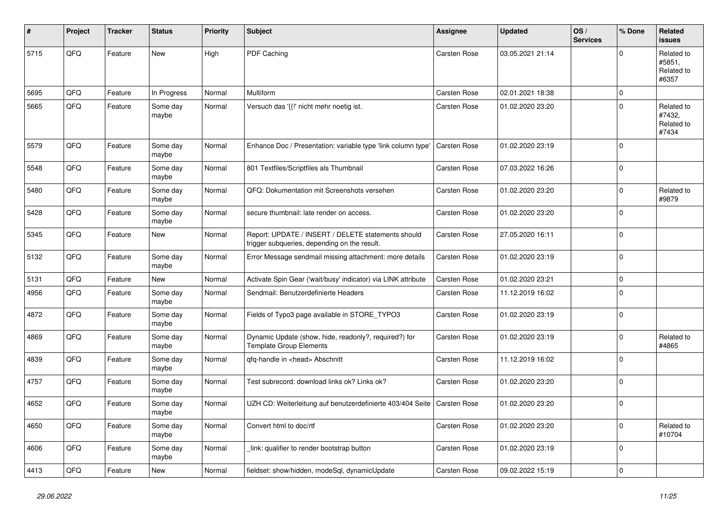| #    | Project | <b>Tracker</b> | <b>Status</b>     | <b>Priority</b> | <b>Subject</b>                                                                                     | <b>Assignee</b>     | <b>Updated</b>   | OS/<br><b>Services</b> | % Done      | Related<br><b>issues</b>                    |
|------|---------|----------------|-------------------|-----------------|----------------------------------------------------------------------------------------------------|---------------------|------------------|------------------------|-------------|---------------------------------------------|
| 5715 | QFQ     | Feature        | <b>New</b>        | High            | PDF Caching                                                                                        | Carsten Rose        | 03.05.2021 21:14 |                        | $\Omega$    | Related to<br>#5851,<br>Related to<br>#6357 |
| 5695 | QFQ     | Feature        | In Progress       | Normal          | Multiform                                                                                          | Carsten Rose        | 02.01.2021 18:38 |                        | $\Omega$    |                                             |
| 5665 | QFQ     | Feature        | Some day<br>maybe | Normal          | Versuch das '{{!' nicht mehr noetig ist.                                                           | Carsten Rose        | 01.02.2020 23:20 |                        | $\Omega$    | Related to<br>#7432,<br>Related to<br>#7434 |
| 5579 | QFQ     | Feature        | Some day<br>maybe | Normal          | Enhance Doc / Presentation: variable type 'link column type'                                       | Carsten Rose        | 01.02.2020 23:19 |                        | $\Omega$    |                                             |
| 5548 | QFQ     | Feature        | Some day<br>maybe | Normal          | 801 Textfiles/Scriptfiles als Thumbnail                                                            | Carsten Rose        | 07.03.2022 16:26 |                        | $\Omega$    |                                             |
| 5480 | QFQ     | Feature        | Some day<br>maybe | Normal          | QFQ: Dokumentation mit Screenshots versehen                                                        | Carsten Rose        | 01.02.2020 23:20 |                        | $\mathbf 0$ | Related to<br>#9879                         |
| 5428 | QFQ     | Feature        | Some day<br>maybe | Normal          | secure thumbnail: late render on access.                                                           | Carsten Rose        | 01.02.2020 23:20 |                        | $\Omega$    |                                             |
| 5345 | QFQ     | Feature        | <b>New</b>        | Normal          | Report: UPDATE / INSERT / DELETE statements should<br>trigger subqueries, depending on the result. | <b>Carsten Rose</b> | 27.05.2020 16:11 |                        | $\Omega$    |                                             |
| 5132 | QFQ     | Feature        | Some day<br>maybe | Normal          | Error Message sendmail missing attachment: more details                                            | Carsten Rose        | 01.02.2020 23:19 |                        | 0           |                                             |
| 5131 | QFQ     | Feature        | New               | Normal          | Activate Spin Gear ('wait/busy' indicator) via LINK attribute                                      | Carsten Rose        | 01.02.2020 23:21 |                        | $\Omega$    |                                             |
| 4956 | QFQ     | Feature        | Some day<br>maybe | Normal          | Sendmail: Benutzerdefinierte Headers                                                               | Carsten Rose        | 11.12.2019 16:02 |                        | $\Omega$    |                                             |
| 4872 | QFQ     | Feature        | Some day<br>maybe | Normal          | Fields of Typo3 page available in STORE TYPO3                                                      | Carsten Rose        | 01.02.2020 23:19 |                        | $\mathbf 0$ |                                             |
| 4869 | QFQ     | Feature        | Some day<br>maybe | Normal          | Dynamic Update (show, hide, readonly?, required?) for<br><b>Template Group Elements</b>            | Carsten Rose        | 01.02.2020 23:19 |                        | $\Omega$    | Related to<br>#4865                         |
| 4839 | QFQ     | Feature        | Some day<br>maybe | Normal          | qfq-handle in <head> Abschnitt</head>                                                              | Carsten Rose        | 11.12.2019 16:02 |                        | $\Omega$    |                                             |
| 4757 | QFQ     | Feature        | Some day<br>maybe | Normal          | Test subrecord: download links ok? Links ok?                                                       | Carsten Rose        | 01.02.2020 23:20 |                        | $\Omega$    |                                             |
| 4652 | QFQ     | Feature        | Some day<br>maybe | Normal          | UZH CD: Weiterleitung auf benutzerdefinierte 403/404 Seite                                         | <b>Carsten Rose</b> | 01.02.2020 23:20 |                        | $\Omega$    |                                             |
| 4650 | QFQ     | Feature        | Some day<br>maybe | Normal          | Convert html to doc/rtf                                                                            | Carsten Rose        | 01.02.2020 23:20 |                        | $\Omega$    | Related to<br>#10704                        |
| 4606 | QFQ     | Feature        | Some day<br>maybe | Normal          | link: qualifier to render bootstrap button                                                         | Carsten Rose        | 01.02.2020 23:19 |                        | $\Omega$    |                                             |
| 4413 | QFQ     | Feature        | New               | Normal          | fieldset: show/hidden, modeSql, dynamicUpdate                                                      | Carsten Rose        | 09.02.2022 15:19 |                        | $\Omega$    |                                             |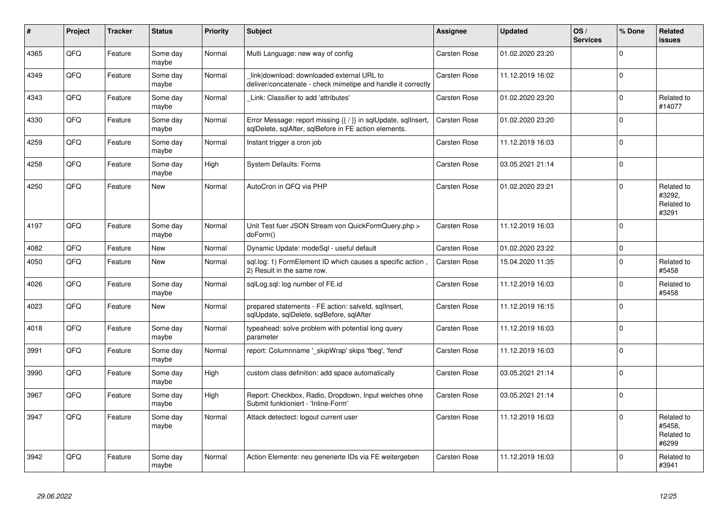| #    | Project | <b>Tracker</b> | <b>Status</b>     | <b>Priority</b> | <b>Subject</b>                                                                                                          | Assignee     | <b>Updated</b>   | OS/<br><b>Services</b> | % Done      | Related<br><b>issues</b>                    |
|------|---------|----------------|-------------------|-----------------|-------------------------------------------------------------------------------------------------------------------------|--------------|------------------|------------------------|-------------|---------------------------------------------|
| 4365 | QFQ     | Feature        | Some day<br>maybe | Normal          | Multi Language: new way of config                                                                                       | Carsten Rose | 01.02.2020 23:20 |                        | $\Omega$    |                                             |
| 4349 | QFQ     | Feature        | Some day<br>maybe | Normal          | link download: downloaded external URL to<br>deliver/concatenate - check mimetipe and handle it correctly               | Carsten Rose | 11.12.2019 16:02 |                        | $\mathbf 0$ |                                             |
| 4343 | QFQ     | Feature        | Some day<br>maybe | Normal          | Link: Classifier to add 'attributes'                                                                                    | Carsten Rose | 01.02.2020 23:20 |                        | $\mathbf 0$ | Related to<br>#14077                        |
| 4330 | QFQ     | Feature        | Some day<br>maybe | Normal          | Error Message: report missing {{ / }} in sqlUpdate, sqlInsert,<br>sqlDelete, sqlAfter, sqlBefore in FE action elements. | Carsten Rose | 01.02.2020 23:20 |                        | $\Omega$    |                                             |
| 4259 | QFQ     | Feature        | Some day<br>maybe | Normal          | Instant trigger a cron job                                                                                              | Carsten Rose | 11.12.2019 16:03 |                        | $\mathbf 0$ |                                             |
| 4258 | QFO     | Feature        | Some day<br>maybe | High            | <b>System Defaults: Forms</b>                                                                                           | Carsten Rose | 03.05.2021 21:14 |                        | $\pmb{0}$   |                                             |
| 4250 | QFQ     | Feature        | New               | Normal          | AutoCron in QFQ via PHP                                                                                                 | Carsten Rose | 01.02.2020 23:21 |                        | $\Omega$    | Related to<br>#3292,<br>Related to<br>#3291 |
| 4197 | QFQ     | Feature        | Some day<br>maybe | Normal          | Unit Test fuer JSON Stream von QuickFormQuery.php ><br>doForm()                                                         | Carsten Rose | 11.12.2019 16:03 |                        | $\mathbf 0$ |                                             |
| 4082 | QFQ     | Feature        | New               | Normal          | Dynamic Update: modeSql - useful default                                                                                | Carsten Rose | 01.02.2020 23:22 |                        | $\pmb{0}$   |                                             |
| 4050 | QFQ     | Feature        | New               | Normal          | sql.log: 1) FormElement ID which causes a specific action,<br>2) Result in the same row.                                | Carsten Rose | 15.04.2020 11:35 |                        | $\mathbf 0$ | Related to<br>#5458                         |
| 4026 | QFQ     | Feature        | Some day<br>maybe | Normal          | sqlLog.sql: log number of FE.id                                                                                         | Carsten Rose | 11.12.2019 16:03 |                        | $\pmb{0}$   | Related to<br>#5458                         |
| 4023 | QFQ     | Feature        | New               | Normal          | prepared statements - FE action: salveld, sqllnsert,<br>sglUpdate, sglDelete, sglBefore, sglAfter                       | Carsten Rose | 11.12.2019 16:15 |                        | $\Omega$    |                                             |
| 4018 | QFQ     | Feature        | Some day<br>maybe | Normal          | typeahead: solve problem with potential long query<br>parameter                                                         | Carsten Rose | 11.12.2019 16:03 |                        | $\mathbf 0$ |                                             |
| 3991 | QFQ     | Feature        | Some day<br>maybe | Normal          | report: Columnname '_skipWrap' skips 'fbeg', 'fend'                                                                     | Carsten Rose | 11.12.2019 16:03 |                        | $\mathbf 0$ |                                             |
| 3990 | QFQ     | Feature        | Some day<br>maybe | High            | custom class definition: add space automatically                                                                        | Carsten Rose | 03.05.2021 21:14 |                        | $\mathbf 0$ |                                             |
| 3967 | QFQ     | Feature        | Some day<br>maybe | High            | Report: Checkbox, Radio, Dropdown, Input welches ohne<br>Submit funktioniert - 'Inline-Form'                            | Carsten Rose | 03.05.2021 21:14 |                        | $\mathbf 0$ |                                             |
| 3947 | QFQ     | Feature        | Some day<br>maybe | Normal          | Attack detectect: logout current user                                                                                   | Carsten Rose | 11.12.2019 16:03 |                        | $\mathbf 0$ | Related to<br>#5458,<br>Related to<br>#6299 |
| 3942 | QFQ     | Feature        | Some day<br>maybe | Normal          | Action Elemente: neu generierte IDs via FE weitergeben                                                                  | Carsten Rose | 11.12.2019 16:03 |                        | $\Omega$    | Related to<br>#3941                         |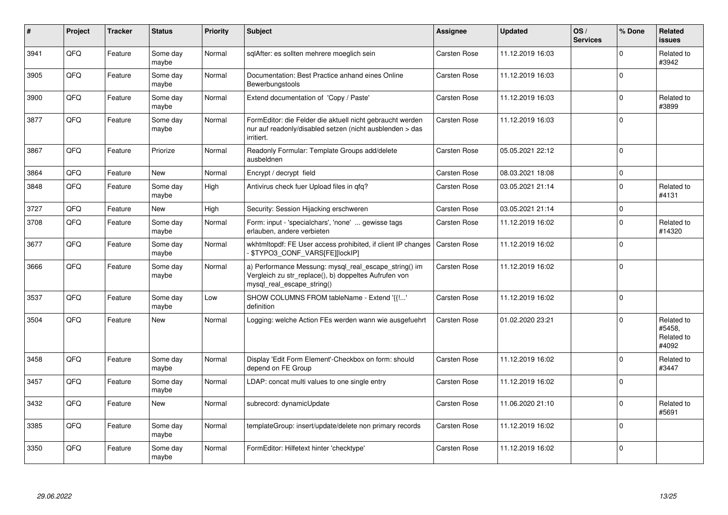| $\vert$ # | Project | <b>Tracker</b> | <b>Status</b>     | <b>Priority</b> | <b>Subject</b>                                                                                                                               | <b>Assignee</b> | <b>Updated</b>   | OS/<br><b>Services</b> | % Done      | Related<br><b>issues</b>                    |
|-----------|---------|----------------|-------------------|-----------------|----------------------------------------------------------------------------------------------------------------------------------------------|-----------------|------------------|------------------------|-------------|---------------------------------------------|
| 3941      | QFQ     | Feature        | Some day<br>maybe | Normal          | sqlAfter: es sollten mehrere moeglich sein                                                                                                   | Carsten Rose    | 11.12.2019 16:03 |                        | $\Omega$    | Related to<br>#3942                         |
| 3905      | QFQ     | Feature        | Some day<br>maybe | Normal          | Documentation: Best Practice anhand eines Online<br>Bewerbungstools                                                                          | Carsten Rose    | 11.12.2019 16:03 |                        | $\Omega$    |                                             |
| 3900      | QFQ     | Feature        | Some day<br>maybe | Normal          | Extend documentation of 'Copy / Paste'                                                                                                       | Carsten Rose    | 11.12.2019 16:03 |                        | 0           | Related to<br>#3899                         |
| 3877      | QFQ     | Feature        | Some day<br>maybe | Normal          | FormEditor: die Felder die aktuell nicht gebraucht werden<br>nur auf readonly/disabled setzen (nicht ausblenden > das<br>irritiert.          | Carsten Rose    | 11.12.2019 16:03 |                        | $\Omega$    |                                             |
| 3867      | QFQ     | Feature        | Priorize          | Normal          | Readonly Formular: Template Groups add/delete<br>ausbeldnen                                                                                  | Carsten Rose    | 05.05.2021 22:12 |                        | $\mathbf 0$ |                                             |
| 3864      | QFQ     | Feature        | New               | Normal          | Encrypt / decrypt field                                                                                                                      | Carsten Rose    | 08.03.2021 18:08 |                        | $\Omega$    |                                             |
| 3848      | QFQ     | Feature        | Some day<br>maybe | High            | Antivirus check fuer Upload files in gfg?                                                                                                    | Carsten Rose    | 03.05.2021 21:14 |                        | $\mathbf 0$ | Related to<br>#4131                         |
| 3727      | QFQ     | Feature        | <b>New</b>        | High            | Security: Session Hijacking erschweren                                                                                                       | Carsten Rose    | 03.05.2021 21:14 |                        | $\Omega$    |                                             |
| 3708      | QFQ     | Feature        | Some day<br>maybe | Normal          | Form: input - 'specialchars', 'none'  gewisse tags<br>erlauben, andere verbieten                                                             | Carsten Rose    | 11.12.2019 16:02 |                        | $\Omega$    | Related to<br>#14320                        |
| 3677      | QFQ     | Feature        | Some day<br>maybe | Normal          | wkhtmitopdf: FE User access prohibited, if client IP changes<br>\$TYPO3_CONF_VARS[FE][lockIP]                                                | Carsten Rose    | 11.12.2019 16:02 |                        | $\Omega$    |                                             |
| 3666      | QFQ     | Feature        | Some day<br>maybe | Normal          | a) Performance Messung: mysql real escape string() im<br>Vergleich zu str_replace(), b) doppeltes Aufrufen von<br>mysgl real escape string() | Carsten Rose    | 11.12.2019 16:02 |                        | $\Omega$    |                                             |
| 3537      | QFQ     | Feature        | Some day<br>maybe | Low             | SHOW COLUMNS FROM tableName - Extend '{{!'<br>definition                                                                                     | Carsten Rose    | 11.12.2019 16:02 |                        | $\Omega$    |                                             |
| 3504      | QFQ     | Feature        | <b>New</b>        | Normal          | Logging: welche Action FEs werden wann wie ausgefuehrt                                                                                       | Carsten Rose    | 01.02.2020 23:21 |                        | $\Omega$    | Related to<br>#5458,<br>Related to<br>#4092 |
| 3458      | QFQ     | Feature        | Some day<br>maybe | Normal          | Display 'Edit Form Element'-Checkbox on form: should<br>depend on FE Group                                                                   | Carsten Rose    | 11.12.2019 16:02 |                        | $\Omega$    | Related to<br>#3447                         |
| 3457      | QFQ     | Feature        | Some day<br>maybe | Normal          | LDAP: concat multi values to one single entry                                                                                                | Carsten Rose    | 11.12.2019 16:02 |                        | $\Omega$    |                                             |
| 3432      | QFQ     | Feature        | New               | Normal          | subrecord: dynamicUpdate                                                                                                                     | Carsten Rose    | 11.06.2020 21:10 |                        | $\Omega$    | Related to<br>#5691                         |
| 3385      | QFQ     | Feature        | Some day<br>maybe | Normal          | templateGroup: insert/update/delete non primary records                                                                                      | Carsten Rose    | 11.12.2019 16:02 |                        | $\Omega$    |                                             |
| 3350      | QFQ     | Feature        | Some day<br>maybe | Normal          | FormEditor: Hilfetext hinter 'checktype'                                                                                                     | Carsten Rose    | 11.12.2019 16:02 |                        | $\Omega$    |                                             |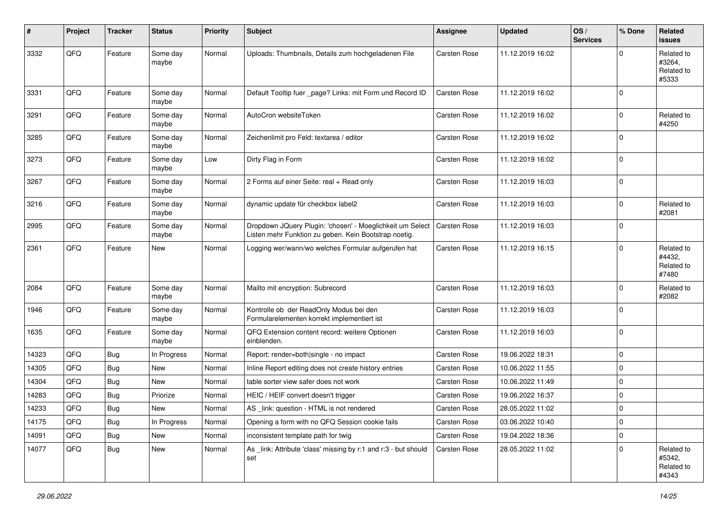| $\#$  | Project | <b>Tracker</b> | <b>Status</b>     | <b>Priority</b> | <b>Subject</b>                                                                                                     | Assignee     | <b>Updated</b>   | OS/<br><b>Services</b> | % Done      | Related<br>issues                           |
|-------|---------|----------------|-------------------|-----------------|--------------------------------------------------------------------------------------------------------------------|--------------|------------------|------------------------|-------------|---------------------------------------------|
| 3332  | QFQ     | Feature        | Some day<br>maybe | Normal          | Uploads: Thumbnails, Details zum hochgeladenen File                                                                | Carsten Rose | 11.12.2019 16:02 |                        | $\Omega$    | Related to<br>#3264,<br>Related to<br>#5333 |
| 3331  | QFQ     | Feature        | Some day<br>maybe | Normal          | Default Tooltip fuer _page? Links: mit Form und Record ID                                                          | Carsten Rose | 11.12.2019 16:02 |                        | $\Omega$    |                                             |
| 3291  | QFQ     | Feature        | Some day<br>maybe | Normal          | AutoCron websiteToken                                                                                              | Carsten Rose | 11.12.2019 16:02 |                        | $\Omega$    | Related to<br>#4250                         |
| 3285  | QFQ     | Feature        | Some day<br>maybe | Normal          | Zeichenlimit pro Feld: textarea / editor                                                                           | Carsten Rose | 11.12.2019 16:02 |                        | $\Omega$    |                                             |
| 3273  | QFQ     | Feature        | Some day<br>maybe | Low             | Dirty Flag in Form                                                                                                 | Carsten Rose | 11.12.2019 16:02 |                        | $\Omega$    |                                             |
| 3267  | QFQ     | Feature        | Some day<br>maybe | Normal          | 2 Forms auf einer Seite: real + Read only                                                                          | Carsten Rose | 11.12.2019 16:03 |                        | $\Omega$    |                                             |
| 3216  | QFQ     | Feature        | Some day<br>maybe | Normal          | dynamic update für checkbox label2                                                                                 | Carsten Rose | 11.12.2019 16:03 |                        | $\Omega$    | Related to<br>#2081                         |
| 2995  | QFQ     | Feature        | Some day<br>maybe | Normal          | Dropdown JQuery Plugin: 'chosen' - Moeglichkeit um Select<br>Listen mehr Funktion zu geben. Kein Bootstrap noetig. | Carsten Rose | 11.12.2019 16:03 |                        | $\Omega$    |                                             |
| 2361  | QFQ     | Feature        | New               | Normal          | Logging wer/wann/wo welches Formular aufgerufen hat                                                                | Carsten Rose | 11.12.2019 16:15 |                        | $\Omega$    | Related to<br>#4432,<br>Related to<br>#7480 |
| 2084  | QFQ     | Feature        | Some day<br>maybe | Normal          | Mailto mit encryption: Subrecord                                                                                   | Carsten Rose | 11.12.2019 16:03 |                        | $\Omega$    | Related to<br>#2082                         |
| 1946  | QFQ     | Feature        | Some day<br>maybe | Normal          | Kontrolle ob der ReadOnly Modus bei den<br>Formularelementen korrekt implementiert ist                             | Carsten Rose | 11.12.2019 16:03 |                        | $\Omega$    |                                             |
| 1635  | QFQ     | Feature        | Some day<br>maybe | Normal          | QFQ Extension content record: weitere Optionen<br>einblenden.                                                      | Carsten Rose | 11.12.2019 16:03 |                        | $\mathbf 0$ |                                             |
| 14323 | QFQ     | Bug            | In Progress       | Normal          | Report: render=both single - no impact                                                                             | Carsten Rose | 19.06.2022 18:31 |                        | $\mathbf 0$ |                                             |
| 14305 | QFQ     | <b>Bug</b>     | New               | Normal          | Inline Report editing does not create history entries                                                              | Carsten Rose | 10.06.2022 11:55 |                        | $\Omega$    |                                             |
| 14304 | QFQ     | <b>Bug</b>     | New               | Normal          | table sorter view safer does not work                                                                              | Carsten Rose | 10.06.2022 11:49 |                        | $\mathbf 0$ |                                             |
| 14283 | QFQ     | <b>Bug</b>     | Priorize          | Normal          | HEIC / HEIF convert doesn't trigger                                                                                | Carsten Rose | 19.06.2022 16:37 |                        | $\Omega$    |                                             |
| 14233 | QFQ     | <b>Bug</b>     | New               | Normal          | AS link: question - HTML is not rendered                                                                           | Carsten Rose | 28.05.2022 11:02 |                        | $\Omega$    |                                             |
| 14175 | QFQ     | <b>Bug</b>     | In Progress       | Normal          | Opening a form with no QFQ Session cookie fails                                                                    | Carsten Rose | 03.06.2022 10:40 |                        | 0           |                                             |
| 14091 | QFQ     | <b>Bug</b>     | New               | Normal          | inconsistent template path for twig                                                                                | Carsten Rose | 19.04.2022 18:36 |                        | 0           |                                             |
| 14077 | QFQ     | <b>Bug</b>     | New               | Normal          | As _link: Attribute 'class' missing by r:1 and r:3 - but should<br>set                                             | Carsten Rose | 28.05.2022 11:02 |                        | 0           | Related to<br>#5342,<br>Related to<br>#4343 |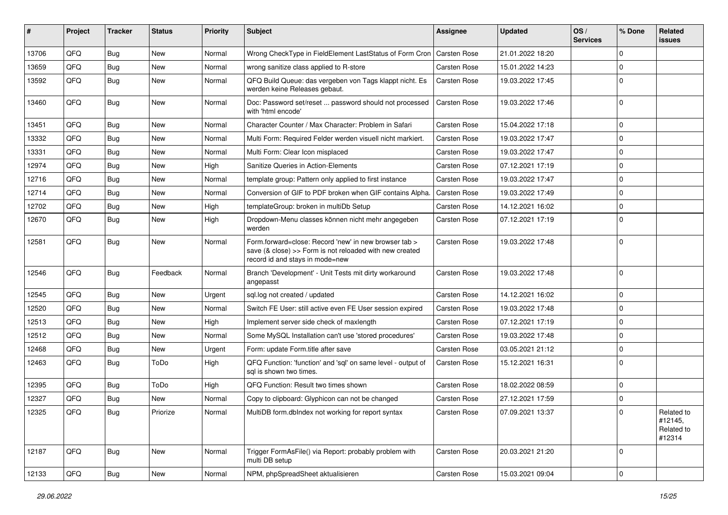| #     | Project | <b>Tracker</b> | <b>Status</b> | <b>Priority</b> | Subject                                                                                                                                             | Assignee            | <b>Updated</b>   | OS/<br><b>Services</b> | % Done      | Related<br>issues                             |
|-------|---------|----------------|---------------|-----------------|-----------------------------------------------------------------------------------------------------------------------------------------------------|---------------------|------------------|------------------------|-------------|-----------------------------------------------|
| 13706 | QFQ     | <b>Bug</b>     | New           | Normal          | Wrong CheckType in FieldElement LastStatus of Form Cron                                                                                             | <b>Carsten Rose</b> | 21.01.2022 18:20 |                        | $\Omega$    |                                               |
| 13659 | QFQ     | Bug            | New           | Normal          | wrong sanitize class applied to R-store                                                                                                             | Carsten Rose        | 15.01.2022 14:23 |                        | $\Omega$    |                                               |
| 13592 | QFQ     | <b>Bug</b>     | <b>New</b>    | Normal          | QFQ Build Queue: das vergeben von Tags klappt nicht. Es<br>werden keine Releases gebaut.                                                            | Carsten Rose        | 19.03.2022 17:45 |                        | $\Omega$    |                                               |
| 13460 | QFQ     | Bug            | New           | Normal          | Doc: Password set/reset  password should not processed<br>with 'html encode'                                                                        | <b>Carsten Rose</b> | 19.03.2022 17:46 |                        | $\Omega$    |                                               |
| 13451 | QFQ     | <b>Bug</b>     | <b>New</b>    | Normal          | Character Counter / Max Character: Problem in Safari                                                                                                | Carsten Rose        | 15.04.2022 17:18 |                        | $\mathbf 0$ |                                               |
| 13332 | QFQ     | Bug            | New           | Normal          | Multi Form: Required Felder werden visuell nicht markiert.                                                                                          | <b>Carsten Rose</b> | 19.03.2022 17:47 |                        | $\Omega$    |                                               |
| 13331 | QFQ     | <b>Bug</b>     | New           | Normal          | Multi Form: Clear Icon misplaced                                                                                                                    | Carsten Rose        | 19.03.2022 17:47 |                        | $\Omega$    |                                               |
| 12974 | QFQ     | Bug            | New           | High            | Sanitize Queries in Action-Elements                                                                                                                 | <b>Carsten Rose</b> | 07.12.2021 17:19 |                        | $\Omega$    |                                               |
| 12716 | QFQ     | <b>Bug</b>     | New           | Normal          | template group: Pattern only applied to first instance                                                                                              | <b>Carsten Rose</b> | 19.03.2022 17:47 |                        | $\mathbf 0$ |                                               |
| 12714 | QFQ     | Bug            | New           | Normal          | Conversion of GIF to PDF broken when GIF contains Alpha.                                                                                            | Carsten Rose        | 19.03.2022 17:49 |                        | $\Omega$    |                                               |
| 12702 | QFQ     | Bug            | New           | High            | templateGroup: broken in multiDb Setup                                                                                                              | Carsten Rose        | 14.12.2021 16:02 |                        | $\Omega$    |                                               |
| 12670 | QFQ     | Bug            | New           | High            | Dropdown-Menu classes können nicht mehr angegeben<br>werden                                                                                         | <b>Carsten Rose</b> | 07.12.2021 17:19 |                        | $\Omega$    |                                               |
| 12581 | QFQ     | <b>Bug</b>     | New           | Normal          | Form.forward=close: Record 'new' in new browser tab ><br>save (& close) >> Form is not reloaded with new created<br>record id and stays in mode=new | <b>Carsten Rose</b> | 19.03.2022 17:48 |                        | $\Omega$    |                                               |
| 12546 | QFQ     | Bug            | Feedback      | Normal          | Branch 'Development' - Unit Tests mit dirty workaround<br>angepasst                                                                                 | Carsten Rose        | 19.03.2022 17:48 |                        | $\Omega$    |                                               |
| 12545 | QFQ     | Bug            | <b>New</b>    | Urgent          | sql.log not created / updated                                                                                                                       | Carsten Rose        | 14.12.2021 16:02 |                        | $\Omega$    |                                               |
| 12520 | QFQ     | Bug            | New           | Normal          | Switch FE User: still active even FE User session expired                                                                                           | <b>Carsten Rose</b> | 19.03.2022 17:48 |                        | $\Omega$    |                                               |
| 12513 | QFQ     | <b>Bug</b>     | New           | High            | Implement server side check of maxlength                                                                                                            | Carsten Rose        | 07.12.2021 17:19 |                        | $\mathbf 0$ |                                               |
| 12512 | QFQ     | Bug            | New           | Normal          | Some MySQL Installation can't use 'stored procedures'                                                                                               | Carsten Rose        | 19.03.2022 17:48 |                        | $\Omega$    |                                               |
| 12468 | QFQ     | <b>Bug</b>     | New           | Urgent          | Form: update Form.title after save                                                                                                                  | Carsten Rose        | 03.05.2021 21:12 |                        | $\mathbf 0$ |                                               |
| 12463 | QFQ     | <b>Bug</b>     | ToDo          | High            | QFQ Function: 'function' and 'sql' on same level - output of<br>sal is shown two times.                                                             | Carsten Rose        | 15.12.2021 16:31 |                        | $\Omega$    |                                               |
| 12395 | QFQ     | Bug            | ToDo          | High            | QFQ Function: Result two times shown                                                                                                                | Carsten Rose        | 18.02.2022 08:59 |                        | $\Omega$    |                                               |
| 12327 | QFQ     | Bug            | New           | Normal          | Copy to clipboard: Glyphicon can not be changed                                                                                                     | Carsten Rose        | 27.12.2021 17:59 |                        | $\Omega$    |                                               |
| 12325 | QFQ     | Bug            | Priorize      | Normal          | MultiDB form.dblndex not working for report syntax                                                                                                  | Carsten Rose        | 07.09.2021 13:37 |                        | $\mathbf 0$ | Related to<br>#12145,<br>Related to<br>#12314 |
| 12187 | QFQ     | Bug            | New           | Normal          | Trigger FormAsFile() via Report: probably problem with<br>multi DB setup                                                                            | Carsten Rose        | 20.03.2021 21:20 |                        | $\mathbf 0$ |                                               |
| 12133 | QFQ     | <b>Bug</b>     | New           | Normal          | NPM, phpSpreadSheet aktualisieren                                                                                                                   | Carsten Rose        | 15.03.2021 09:04 |                        | $\mathbf 0$ |                                               |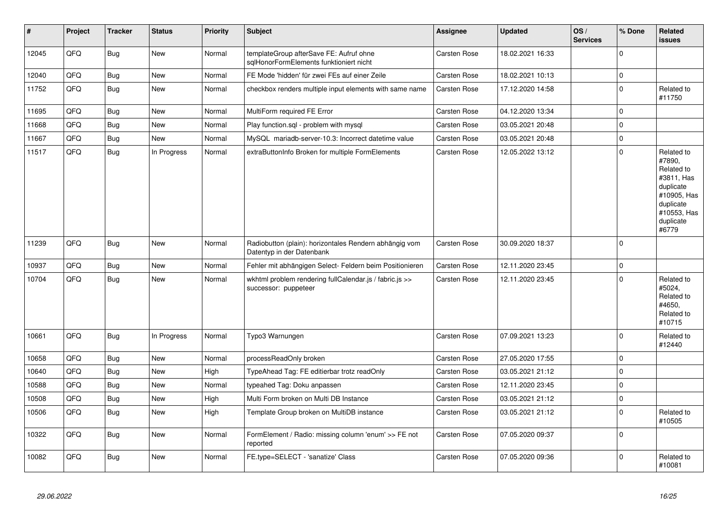| $\vert$ # | Project | <b>Tracker</b> | <b>Status</b> | <b>Priority</b> | <b>Subject</b>                                                                      | <b>Assignee</b>     | <b>Updated</b>   | OS/<br><b>Services</b> | % Done       | <b>Related</b><br>issues                                                                                                       |
|-----------|---------|----------------|---------------|-----------------|-------------------------------------------------------------------------------------|---------------------|------------------|------------------------|--------------|--------------------------------------------------------------------------------------------------------------------------------|
| 12045     | QFQ     | Bug            | New           | Normal          | templateGroup afterSave FE: Aufruf ohne<br>sqlHonorFormElements funktioniert nicht  | Carsten Rose        | 18.02.2021 16:33 |                        | $\mathbf{0}$ |                                                                                                                                |
| 12040     | QFQ     | <b>Bug</b>     | New           | Normal          | FE Mode 'hidden' für zwei FEs auf einer Zeile                                       | Carsten Rose        | 18.02.2021 10:13 |                        | $\pmb{0}$    |                                                                                                                                |
| 11752     | QFQ     | <b>Bug</b>     | New           | Normal          | checkbox renders multiple input elements with same name                             | Carsten Rose        | 17.12.2020 14:58 |                        | $\pmb{0}$    | Related to<br>#11750                                                                                                           |
| 11695     | QFQ     | <b>Bug</b>     | New           | Normal          | MultiForm required FE Error                                                         | Carsten Rose        | 04.12.2020 13:34 |                        | $\pmb{0}$    |                                                                                                                                |
| 11668     | QFQ     | <b>Bug</b>     | <b>New</b>    | Normal          | Play function.sql - problem with mysql                                              | Carsten Rose        | 03.05.2021 20:48 |                        | $\mathbf 0$  |                                                                                                                                |
| 11667     | QFQ     | <b>Bug</b>     | New           | Normal          | MySQL mariadb-server-10.3: Incorrect datetime value                                 | Carsten Rose        | 03.05.2021 20:48 |                        | $\pmb{0}$    |                                                                                                                                |
| 11517     | QFQ     | <b>Bug</b>     | In Progress   | Normal          | extraButtonInfo Broken for multiple FormElements                                    | Carsten Rose        | 12.05.2022 13:12 |                        | $\mathbf{0}$ | Related to<br>#7890,<br>Related to<br>#3811, Has<br>duplicate<br>#10905, Has<br>duplicate<br>#10553, Has<br>duplicate<br>#6779 |
| 11239     | QFQ     | <b>Bug</b>     | New           | Normal          | Radiobutton (plain): horizontales Rendern abhängig vom<br>Datentyp in der Datenbank | Carsten Rose        | 30.09.2020 18:37 |                        | $\mathbf 0$  |                                                                                                                                |
| 10937     | QFQ     | Bug            | New           | Normal          | Fehler mit abhängigen Select- Feldern beim Positionieren                            | <b>Carsten Rose</b> | 12.11.2020 23:45 |                        | $\pmb{0}$    |                                                                                                                                |
| 10704     | QFQ     | Bug            | New           | Normal          | wkhtml problem rendering fullCalendar.js / fabric.js >><br>successor: puppeteer     | Carsten Rose        | 12.11.2020 23:45 |                        | $\Omega$     | Related to<br>#5024,<br>Related to<br>#4650,<br>Related to<br>#10715                                                           |
| 10661     | QFQ     | <b>Bug</b>     | In Progress   | Normal          | Typo3 Warnungen                                                                     | Carsten Rose        | 07.09.2021 13:23 |                        | $\mathbf{0}$ | Related to<br>#12440                                                                                                           |
| 10658     | QFQ     | Bug            | <b>New</b>    | Normal          | processReadOnly broken                                                              | Carsten Rose        | 27.05.2020 17:55 |                        | $\pmb{0}$    |                                                                                                                                |
| 10640     | QFQ     | <b>Bug</b>     | <b>New</b>    | High            | TypeAhead Tag: FE editierbar trotz readOnly                                         | Carsten Rose        | 03.05.2021 21:12 |                        | $\mathbf{0}$ |                                                                                                                                |
| 10588     | QFQ     | Bug            | <b>New</b>    | Normal          | typeahed Tag: Doku anpassen                                                         | Carsten Rose        | 12.11.2020 23:45 |                        | $\pmb{0}$    |                                                                                                                                |
| 10508     | QFQ     | <b>Bug</b>     | New           | High            | Multi Form broken on Multi DB Instance                                              | Carsten Rose        | 03.05.2021 21:12 |                        | $\pmb{0}$    |                                                                                                                                |
| 10506     | QFQ     | <b>Bug</b>     | <b>New</b>    | High            | Template Group broken on MultiDB instance                                           | Carsten Rose        | 03.05.2021 21:12 |                        | $\mathbf 0$  | Related to<br>#10505                                                                                                           |
| 10322     | QFQ     | <b>Bug</b>     | New           | Normal          | FormElement / Radio: missing column 'enum' >> FE not<br>reported                    | Carsten Rose        | 07.05.2020 09:37 |                        | $\mathbf 0$  |                                                                                                                                |
| 10082     | QFQ     | Bug            | New           | Normal          | FE.type=SELECT - 'sanatize' Class                                                   | Carsten Rose        | 07.05.2020 09:36 |                        | $\Omega$     | Related to<br>#10081                                                                                                           |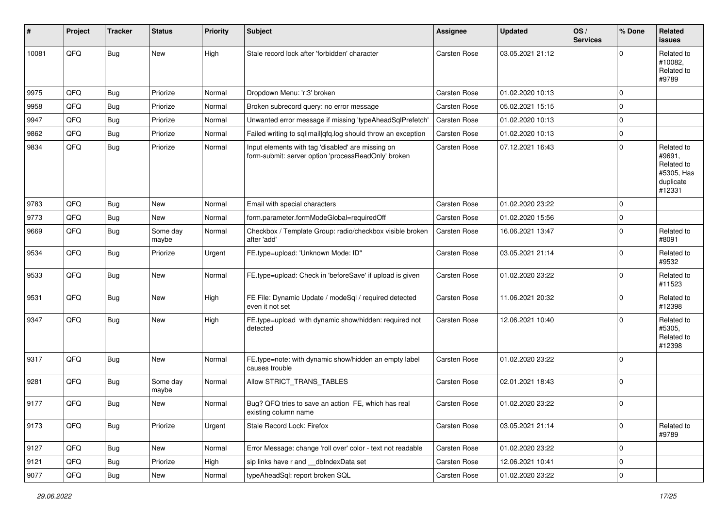| #     | Project | <b>Tracker</b> | <b>Status</b>     | <b>Priority</b> | <b>Subject</b>                                                                                           | <b>Assignee</b>     | <b>Updated</b>   | OS/<br><b>Services</b> | % Done      | <b>Related</b><br><b>issues</b>                                         |
|-------|---------|----------------|-------------------|-----------------|----------------------------------------------------------------------------------------------------------|---------------------|------------------|------------------------|-------------|-------------------------------------------------------------------------|
| 10081 | QFQ     | <b>Bug</b>     | New               | High            | Stale record lock after 'forbidden' character                                                            | <b>Carsten Rose</b> | 03.05.2021 21:12 |                        | $\Omega$    | Related to<br>#10082.<br>Related to<br>#9789                            |
| 9975  | QFQ     | Bug            | Priorize          | Normal          | Dropdown Menu: 'r:3' broken                                                                              | <b>Carsten Rose</b> | 01.02.2020 10:13 |                        | $\Omega$    |                                                                         |
| 9958  | QFQ     | <b>Bug</b>     | Priorize          | Normal          | Broken subrecord query: no error message                                                                 | Carsten Rose        | 05.02.2021 15:15 |                        | $\mathbf 0$ |                                                                         |
| 9947  | QFQ     | Bug            | Priorize          | Normal          | Unwanted error message if missing 'typeAheadSqlPrefetch'                                                 | <b>Carsten Rose</b> | 01.02.2020 10:13 |                        | $\mathbf 0$ |                                                                         |
| 9862  | QFQ     | Bug            | Priorize          | Normal          | Failed writing to sql mail qfq.log should throw an exception                                             | <b>Carsten Rose</b> | 01.02.2020 10:13 |                        | $\mathbf 0$ |                                                                         |
| 9834  | QFQ     | <b>Bug</b>     | Priorize          | Normal          | Input elements with tag 'disabled' are missing on<br>form-submit: server option 'processReadOnly' broken | Carsten Rose        | 07.12.2021 16:43 |                        | $\Omega$    | Related to<br>#9691,<br>Related to<br>#5305, Has<br>duplicate<br>#12331 |
| 9783  | QFQ     | Bug            | <b>New</b>        | Normal          | Email with special characters                                                                            | Carsten Rose        | 01.02.2020 23:22 |                        | $\mathbf 0$ |                                                                         |
| 9773  | QFQ     | Bug            | New               | Normal          | form.parameter.formModeGlobal=requiredOff                                                                | <b>Carsten Rose</b> | 01.02.2020 15:56 |                        | $\mathbf 0$ |                                                                         |
| 9669  | QFQ     | <b>Bug</b>     | Some day<br>maybe | Normal          | Checkbox / Template Group: radio/checkbox visible broken<br>after 'add'                                  | <b>Carsten Rose</b> | 16.06.2021 13:47 |                        | $\mathbf 0$ | Related to<br>#8091                                                     |
| 9534  | QFQ     | <b>Bug</b>     | Priorize          | Urgent          | FE.type=upload: 'Unknown Mode: ID"                                                                       | Carsten Rose        | 03.05.2021 21:14 |                        | $\mathbf 0$ | Related to<br>#9532                                                     |
| 9533  | QFQ     | <b>Bug</b>     | New               | Normal          | FE.type=upload: Check in 'beforeSave' if upload is given                                                 | <b>Carsten Rose</b> | 01.02.2020 23:22 |                        | $\mathbf 0$ | Related to<br>#11523                                                    |
| 9531  | QFQ     | Bug            | New               | High            | FE File: Dynamic Update / modeSql / required detected<br>even it not set                                 | <b>Carsten Rose</b> | 11.06.2021 20:32 |                        | $\Omega$    | Related to<br>#12398                                                    |
| 9347  | QFQ     | <b>Bug</b>     | New               | High            | FE.type=upload with dynamic show/hidden: required not<br>detected                                        | <b>Carsten Rose</b> | 12.06.2021 10:40 |                        | $\Omega$    | Related to<br>#5305,<br>Related to<br>#12398                            |
| 9317  | QFQ     | <b>Bug</b>     | <b>New</b>        | Normal          | FE.type=note: with dynamic show/hidden an empty label<br>causes trouble                                  | <b>Carsten Rose</b> | 01.02.2020 23:22 |                        | $\mathbf 0$ |                                                                         |
| 9281  | QFQ     | <b>Bug</b>     | Some day<br>maybe | Normal          | Allow STRICT TRANS TABLES                                                                                | <b>Carsten Rose</b> | 02.01.2021 18:43 |                        | $\mathbf 0$ |                                                                         |
| 9177  | QFQ     | Bug            | <b>New</b>        | Normal          | Bug? QFQ tries to save an action FE, which has real<br>existing column name                              | Carsten Rose        | 01.02.2020 23:22 |                        | $\mathbf 0$ |                                                                         |
| 9173  | QFQ     | <b>Bug</b>     | Priorize          | Urgent          | Stale Record Lock: Firefox                                                                               | Carsten Rose        | 03.05.2021 21:14 |                        | $\mathbf 0$ | Related to<br>#9789                                                     |
| 9127  | QFQ     | <b>Bug</b>     | New               | Normal          | Error Message: change 'roll over' color - text not readable                                              | Carsten Rose        | 01.02.2020 23:22 |                        | $\mathbf 0$ |                                                                         |
| 9121  | QFQ     | <b>Bug</b>     | Priorize          | High            | sip links have r and __dbIndexData set                                                                   | Carsten Rose        | 12.06.2021 10:41 |                        | 0           |                                                                         |
| 9077  | QFQ     | <b>Bug</b>     | New               | Normal          | typeAheadSql: report broken SQL                                                                          | Carsten Rose        | 01.02.2020 23:22 |                        | $\pmb{0}$   |                                                                         |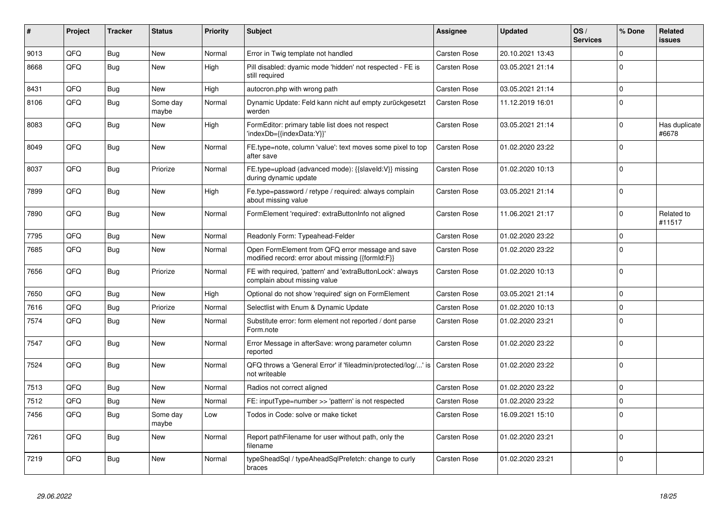| #    | Project | <b>Tracker</b> | <b>Status</b>     | <b>Priority</b> | <b>Subject</b>                                                                                        | <b>Assignee</b>     | <b>Updated</b>   | OS/<br><b>Services</b> | % Done      | Related<br><b>issues</b> |
|------|---------|----------------|-------------------|-----------------|-------------------------------------------------------------------------------------------------------|---------------------|------------------|------------------------|-------------|--------------------------|
| 9013 | QFQ     | <b>Bug</b>     | <b>New</b>        | Normal          | Error in Twig template not handled                                                                    | Carsten Rose        | 20.10.2021 13:43 |                        | $\Omega$    |                          |
| 8668 | QFQ     | <b>Bug</b>     | <b>New</b>        | High            | Pill disabled: dyamic mode 'hidden' not respected - FE is<br>still required                           | Carsten Rose        | 03.05.2021 21:14 |                        | $\Omega$    |                          |
| 8431 | QFQ     | <b>Bug</b>     | <b>New</b>        | High            | autocron.php with wrong path                                                                          | Carsten Rose        | 03.05.2021 21:14 |                        | $\mathbf 0$ |                          |
| 8106 | QFQ     | <b>Bug</b>     | Some day<br>maybe | Normal          | Dynamic Update: Feld kann nicht auf empty zurückgesetzt<br>werden                                     | Carsten Rose        | 11.12.2019 16:01 |                        | $\Omega$    |                          |
| 8083 | QFQ     | <b>Bug</b>     | <b>New</b>        | High            | FormEditor: primary table list does not respect<br>'indexDb={{indexData:Y}}'                          | Carsten Rose        | 03.05.2021 21:14 |                        | $\mathbf 0$ | Has duplicate<br>#6678   |
| 8049 | QFQ     | <b>Bug</b>     | <b>New</b>        | Normal          | FE.type=note, column 'value': text moves some pixel to top<br>after save                              | Carsten Rose        | 01.02.2020 23:22 |                        | $\mathbf 0$ |                          |
| 8037 | QFQ     | Bug            | Priorize          | Normal          | FE.type=upload (advanced mode): {{slaveld:V}} missing<br>during dynamic update                        | Carsten Rose        | 01.02.2020 10:13 |                        | $\Omega$    |                          |
| 7899 | QFQ     | <b>Bug</b>     | <b>New</b>        | High            | Fe.type=password / retype / required: always complain<br>about missing value                          | Carsten Rose        | 03.05.2021 21:14 |                        | $\Omega$    |                          |
| 7890 | QFQ     | Bug            | <b>New</b>        | Normal          | FormElement 'required': extraButtonInfo not aligned                                                   | Carsten Rose        | 11.06.2021 21:17 |                        | $\mathbf 0$ | Related to<br>#11517     |
| 7795 | QFQ     | <b>Bug</b>     | <b>New</b>        | Normal          | Readonly Form: Typeahead-Felder                                                                       | Carsten Rose        | 01.02.2020 23:22 |                        | $\Omega$    |                          |
| 7685 | QFQ     | <b>Bug</b>     | <b>New</b>        | Normal          | Open FormElement from QFQ error message and save<br>modified record: error about missing {{formId:F}} | Carsten Rose        | 01.02.2020 23:22 |                        | $\Omega$    |                          |
| 7656 | QFQ     | Bug            | Priorize          | Normal          | FE with required, 'pattern' and 'extraButtonLock': always<br>complain about missing value             | Carsten Rose        | 01.02.2020 10:13 |                        | $\Omega$    |                          |
| 7650 | QFQ     | <b>Bug</b>     | <b>New</b>        | High            | Optional do not show 'required' sign on FormElement                                                   | Carsten Rose        | 03.05.2021 21:14 |                        | $\Omega$    |                          |
| 7616 | QFQ     | Bug            | Priorize          | Normal          | Selectlist with Enum & Dynamic Update                                                                 | Carsten Rose        | 01.02.2020 10:13 |                        | $\mathbf 0$ |                          |
| 7574 | QFQ     | Bug            | <b>New</b>        | Normal          | Substitute error: form element not reported / dont parse<br>Form.note                                 | Carsten Rose        | 01.02.2020 23:21 |                        | $\mathbf 0$ |                          |
| 7547 | QFQ     | <b>Bug</b>     | <b>New</b>        | Normal          | Error Message in afterSave: wrong parameter column<br>reported                                        | Carsten Rose        | 01.02.2020 23:22 |                        | $\mathbf 0$ |                          |
| 7524 | QFQ     | <b>Bug</b>     | New               | Normal          | QFQ throws a 'General Error' if 'fileadmin/protected/log/' is<br>not writeable                        | Carsten Rose        | 01.02.2020 23:22 |                        | $\mathbf 0$ |                          |
| 7513 | QFQ     | <b>Bug</b>     | <b>New</b>        | Normal          | Radios not correct aligned                                                                            | Carsten Rose        | 01.02.2020 23:22 |                        | $\Omega$    |                          |
| 7512 | QFQ     | Bug            | <b>New</b>        | Normal          | FE: inputType=number >> 'pattern' is not respected                                                    | <b>Carsten Rose</b> | 01.02.2020 23:22 |                        | $\Omega$    |                          |
| 7456 | QFQ     | <b>Bug</b>     | Some day<br>maybe | Low             | Todos in Code: solve or make ticket                                                                   | Carsten Rose        | 16.09.2021 15:10 |                        | $\mathbf 0$ |                          |
| 7261 | QFQ     | <b>Bug</b>     | <b>New</b>        | Normal          | Report pathFilename for user without path, only the<br>filename                                       | Carsten Rose        | 01.02.2020 23:21 |                        | $\Omega$    |                          |
| 7219 | QFQ     | Bug            | New               | Normal          | typeSheadSql / typeAheadSqlPrefetch: change to curly<br>braces                                        | Carsten Rose        | 01.02.2020 23:21 |                        | $\mathbf 0$ |                          |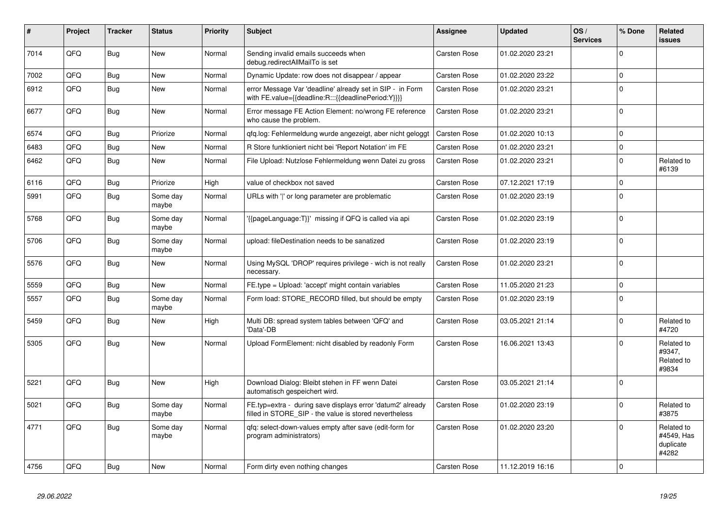| #    | Project | <b>Tracker</b> | <b>Status</b>     | <b>Priority</b> | <b>Subject</b>                                                                                                       | <b>Assignee</b>     | <b>Updated</b>   | OS/<br><b>Services</b> | % Done      | Related<br><b>issues</b>                       |
|------|---------|----------------|-------------------|-----------------|----------------------------------------------------------------------------------------------------------------------|---------------------|------------------|------------------------|-------------|------------------------------------------------|
| 7014 | QFQ     | Bug            | <b>New</b>        | Normal          | Sending invalid emails succeeds when<br>debug.redirectAllMailTo is set                                               | Carsten Rose        | 01.02.2020 23:21 |                        | $\Omega$    |                                                |
| 7002 | QFQ     | <b>Bug</b>     | <b>New</b>        | Normal          | Dynamic Update: row does not disappear / appear                                                                      | <b>Carsten Rose</b> | 01.02.2020 23:22 |                        | $\Omega$    |                                                |
| 6912 | QFQ     | Bug            | <b>New</b>        | Normal          | error Message Var 'deadline' already set in SIP - in Form<br>with FE.value={{deadline:R:::{{deadlinePeriod:Y}}}}     | Carsten Rose        | 01.02.2020 23:21 |                        | $\Omega$    |                                                |
| 6677 | QFQ     | Bug            | <b>New</b>        | Normal          | Error message FE Action Element: no/wrong FE reference<br>who cause the problem.                                     | Carsten Rose        | 01.02.2020 23:21 |                        | $\mathbf 0$ |                                                |
| 6574 | QFQ     | <b>Bug</b>     | Priorize          | Normal          | gfg.log: Fehlermeldung wurde angezeigt, aber nicht geloggt                                                           | Carsten Rose        | 01.02.2020 10:13 |                        | $\Omega$    |                                                |
| 6483 | QFQ     | Bug            | <b>New</b>        | Normal          | R Store funktioniert nicht bei 'Report Notation' im FE                                                               | Carsten Rose        | 01.02.2020 23:21 |                        | $\mathbf 0$ |                                                |
| 6462 | QFQ     | <b>Bug</b>     | <b>New</b>        | Normal          | File Upload: Nutzlose Fehlermeldung wenn Datei zu gross                                                              | Carsten Rose        | 01.02.2020 23:21 |                        | $\Omega$    | Related to<br>#6139                            |
| 6116 | QFQ     | Bug            | Priorize          | High            | value of checkbox not saved                                                                                          | Carsten Rose        | 07.12.2021 17:19 |                        | $\mathbf 0$ |                                                |
| 5991 | QFQ     | <b>Bug</b>     | Some day<br>maybe | Normal          | URLs with 'I' or long parameter are problematic                                                                      | Carsten Rose        | 01.02.2020 23:19 |                        | $\Omega$    |                                                |
| 5768 | QFQ     | Bug            | Some day<br>maybe | Normal          | '{{pageLanguage:T}}' missing if QFQ is called via api                                                                | Carsten Rose        | 01.02.2020 23:19 |                        | $\Omega$    |                                                |
| 5706 | QFQ     | Bug            | Some day<br>maybe | Normal          | upload: fileDestination needs to be sanatized                                                                        | Carsten Rose        | 01.02.2020 23:19 |                        | $\Omega$    |                                                |
| 5576 | QFQ     | <b>Bug</b>     | <b>New</b>        | Normal          | Using MySQL 'DROP' requires privilege - wich is not really<br>necessary.                                             | Carsten Rose        | 01.02.2020 23:21 |                        | $\Omega$    |                                                |
| 5559 | QFQ     | <b>Bug</b>     | <b>New</b>        | Normal          | FE.type = Upload: 'accept' might contain variables                                                                   | Carsten Rose        | 11.05.2020 21:23 |                        | $\mathbf 0$ |                                                |
| 5557 | QFQ     | Bug            | Some day<br>maybe | Normal          | Form load: STORE RECORD filled, but should be empty                                                                  | Carsten Rose        | 01.02.2020 23:19 |                        | $\Omega$    |                                                |
| 5459 | QFQ     | Bug            | <b>New</b>        | High            | Multi DB: spread system tables between 'QFQ' and<br>'Data'-DB                                                        | Carsten Rose        | 03.05.2021 21:14 |                        | $\Omega$    | Related to<br>#4720                            |
| 5305 | QFQ     | Bug            | New               | Normal          | Upload FormElement: nicht disabled by readonly Form                                                                  | <b>Carsten Rose</b> | 16.06.2021 13:43 |                        | $\Omega$    | Related to<br>#9347,<br>Related to<br>#9834    |
| 5221 | QFQ     | Bug            | <b>New</b>        | High            | Download Dialog: Bleibt stehen in FF wenn Datei<br>automatisch gespeichert wird.                                     | Carsten Rose        | 03.05.2021 21:14 |                        | $\Omega$    |                                                |
| 5021 | QFQ     | Bug            | Some day<br>maybe | Normal          | FE.typ=extra - during save displays error 'datum2' already<br>filled in STORE_SIP - the value is stored nevertheless | Carsten Rose        | 01.02.2020 23:19 |                        | $\Omega$    | Related to<br>#3875                            |
| 4771 | QFQ     | Bug            | Some day<br>maybe | Normal          | gfg: select-down-values empty after save (edit-form for<br>program administrators)                                   | <b>Carsten Rose</b> | 01.02.2020 23:20 |                        | $\Omega$    | Related to<br>#4549, Has<br>duplicate<br>#4282 |
| 4756 | QFQ     | Bug            | <b>New</b>        | Normal          | Form dirty even nothing changes                                                                                      | Carsten Rose        | 11.12.2019 16:16 |                        | $\Omega$    |                                                |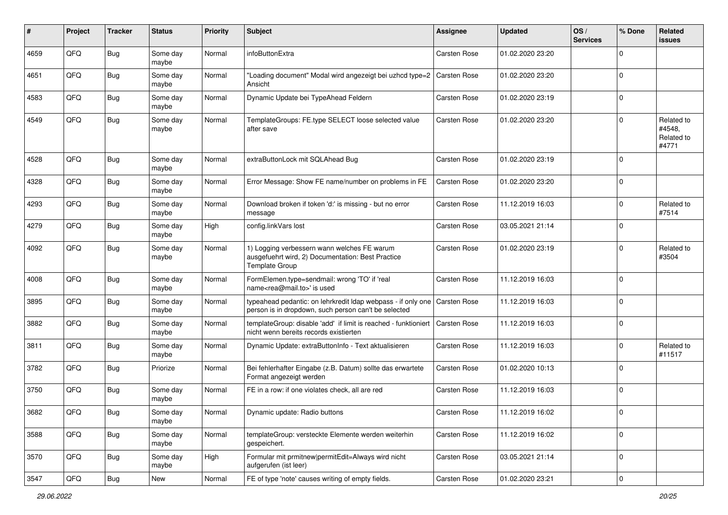| #    | Project        | <b>Tracker</b> | <b>Status</b>     | <b>Priority</b> | <b>Subject</b>                                                                                                            | <b>Assignee</b>     | <b>Updated</b>   | OS/<br><b>Services</b> | % Done      | Related<br>issues                           |
|------|----------------|----------------|-------------------|-----------------|---------------------------------------------------------------------------------------------------------------------------|---------------------|------------------|------------------------|-------------|---------------------------------------------|
| 4659 | QFQ            | Bug            | Some day<br>maybe | Normal          | infoButtonExtra                                                                                                           | Carsten Rose        | 01.02.2020 23:20 |                        | $\Omega$    |                                             |
| 4651 | QFQ            | <b>Bug</b>     | Some day<br>maybe | Normal          | "Loading document" Modal wird angezeigt bei uzhcd type=2   Carsten Rose<br>Ansicht                                        |                     | 01.02.2020 23:20 |                        | $\Omega$    |                                             |
| 4583 | QFQ            | <b>Bug</b>     | Some day<br>maybe | Normal          | Dynamic Update bei TypeAhead Feldern                                                                                      | Carsten Rose        | 01.02.2020 23:19 |                        | $\Omega$    |                                             |
| 4549 | QFQ            | Bug            | Some day<br>maybe | Normal          | TemplateGroups: FE.type SELECT loose selected value<br>after save                                                         | Carsten Rose        | 01.02.2020 23:20 |                        | $\Omega$    | Related to<br>#4548,<br>Related to<br>#4771 |
| 4528 | QFQ            | <b>Bug</b>     | Some day<br>maybe | Normal          | extraButtonLock mit SQLAhead Bug                                                                                          | Carsten Rose        | 01.02.2020 23:19 |                        | $\Omega$    |                                             |
| 4328 | QFQ            | <b>Bug</b>     | Some day<br>maybe | Normal          | Error Message: Show FE name/number on problems in FE                                                                      | Carsten Rose        | 01.02.2020 23:20 |                        | $\Omega$    |                                             |
| 4293 | QFQ            | Bug            | Some day<br>maybe | Normal          | Download broken if token 'd:' is missing - but no error<br>message                                                        | Carsten Rose        | 11.12.2019 16:03 |                        | $\Omega$    | Related to<br>#7514                         |
| 4279 | QFQ            | <b>Bug</b>     | Some day<br>maybe | High            | config.linkVars lost                                                                                                      | Carsten Rose        | 03.05.2021 21:14 |                        | $\Omega$    |                                             |
| 4092 | QFQ            | <b>Bug</b>     | Some day<br>maybe | Normal          | 1) Logging verbessern wann welches FE warum<br>ausgefuehrt wird, 2) Documentation: Best Practice<br><b>Template Group</b> | <b>Carsten Rose</b> | 01.02.2020 23:19 |                        | $\Omega$    | Related to<br>#3504                         |
| 4008 | QFQ            | <b>Bug</b>     | Some day<br>maybe | Normal          | FormElemen.type=sendmail: wrong 'TO' if 'real<br>name <rea@mail.to>' is used</rea@mail.to>                                | <b>Carsten Rose</b> | 11.12.2019 16:03 |                        | $\Omega$    |                                             |
| 3895 | QFQ            | <b>Bug</b>     | Some day<br>maybe | Normal          | typeahead pedantic: on lehrkredit Idap webpass - if only one<br>person is in dropdown, such person can't be selected      | Carsten Rose        | 11.12.2019 16:03 |                        | $\Omega$    |                                             |
| 3882 | QFQ            | Bug            | Some day<br>maybe | Normal          | templateGroup: disable 'add' if limit is reached - funktioniert<br>nicht wenn bereits records existierten                 | <b>Carsten Rose</b> | 11.12.2019 16:03 |                        | $\Omega$    |                                             |
| 3811 | QFQ            | Bug            | Some day<br>maybe | Normal          | Dynamic Update: extraButtonInfo - Text aktualisieren                                                                      | Carsten Rose        | 11.12.2019 16:03 |                        | $\Omega$    | Related to<br>#11517                        |
| 3782 | QFQ            | <b>Bug</b>     | Priorize          | Normal          | Bei fehlerhafter Eingabe (z.B. Datum) sollte das erwartete<br>Format angezeigt werden                                     | Carsten Rose        | 01.02.2020 10:13 |                        | $\Omega$    |                                             |
| 3750 | QFQ            | <b>Bug</b>     | Some day<br>maybe | Normal          | FE in a row: if one violates check, all are red                                                                           | Carsten Rose        | 11.12.2019 16:03 |                        | $\Omega$    |                                             |
| 3682 | $\mathsf{QFQ}$ | <b>Bug</b>     | Some day<br>maybe | Normal          | Dynamic update: Radio buttons                                                                                             | Carsten Rose        | 11.12.2019 16:02 |                        |             |                                             |
| 3588 | QFQ            | <b>Bug</b>     | Some day<br>maybe | Normal          | templateGroup: versteckte Elemente werden weiterhin<br>gespeichert.                                                       | Carsten Rose        | 11.12.2019 16:02 |                        | $\mathbf 0$ |                                             |
| 3570 | QFQ            | <b>Bug</b>     | Some day<br>maybe | High            | Formular mit prmitnew permitEdit=Always wird nicht<br>aufgerufen (ist leer)                                               | Carsten Rose        | 03.05.2021 21:14 |                        | 0           |                                             |
| 3547 | QFG            | Bug            | New               | Normal          | FE of type 'note' causes writing of empty fields.                                                                         | Carsten Rose        | 01.02.2020 23:21 |                        | $\pmb{0}$   |                                             |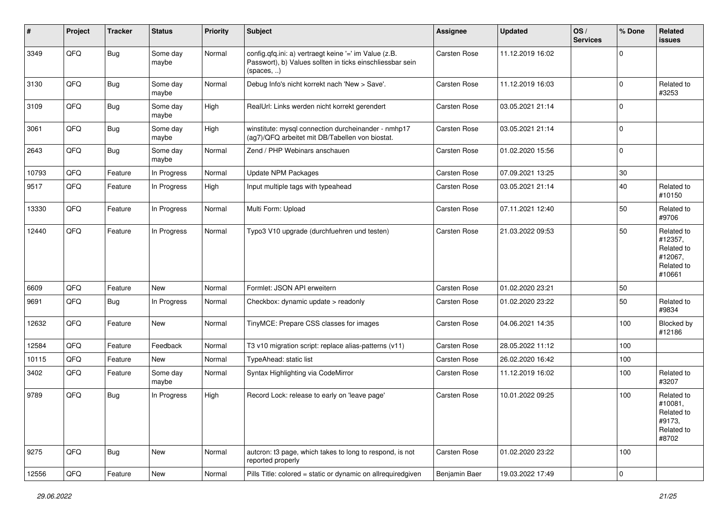| $\sharp$ | Project | <b>Tracker</b> | <b>Status</b>     | <b>Priority</b> | <b>Subject</b>                                                                                                                   | <b>Assignee</b> | <b>Updated</b>   | OS/<br><b>Services</b> | % Done      | Related<br>issues                                                      |
|----------|---------|----------------|-------------------|-----------------|----------------------------------------------------------------------------------------------------------------------------------|-----------------|------------------|------------------------|-------------|------------------------------------------------------------------------|
| 3349     | QFQ     | Bug            | Some day<br>maybe | Normal          | config.qfq.ini: a) vertraegt keine '=' im Value (z.B.<br>Passwort), b) Values sollten in ticks einschliessbar sein<br>(spaces, ) | Carsten Rose    | 11.12.2019 16:02 |                        | $\Omega$    |                                                                        |
| 3130     | QFQ     | Bug            | Some day<br>maybe | Normal          | Debug Info's nicht korrekt nach 'New > Save'.                                                                                    | Carsten Rose    | 11.12.2019 16:03 |                        | $\Omega$    | Related to<br>#3253                                                    |
| 3109     | QFQ     | Bug            | Some day<br>maybe | High            | RealUrl: Links werden nicht korrekt gerendert                                                                                    | Carsten Rose    | 03.05.2021 21:14 |                        | $\Omega$    |                                                                        |
| 3061     | QFQ     | <b>Bug</b>     | Some day<br>maybe | High            | winstitute: mysql connection durcheinander - nmhp17<br>(ag7)/QFQ arbeitet mit DB/Tabellen von biostat.                           | Carsten Rose    | 03.05.2021 21:14 |                        | $\Omega$    |                                                                        |
| 2643     | QFQ     | Bug            | Some day<br>maybe | Normal          | Zend / PHP Webinars anschauen                                                                                                    | Carsten Rose    | 01.02.2020 15:56 |                        | $\mathbf 0$ |                                                                        |
| 10793    | QFQ     | Feature        | In Progress       | Normal          | <b>Update NPM Packages</b>                                                                                                       | Carsten Rose    | 07.09.2021 13:25 |                        | $30\,$      |                                                                        |
| 9517     | QFQ     | Feature        | In Progress       | High            | Input multiple tags with typeahead                                                                                               | Carsten Rose    | 03.05.2021 21:14 |                        | 40          | Related to<br>#10150                                                   |
| 13330    | QFQ     | Feature        | In Progress       | Normal          | Multi Form: Upload                                                                                                               | Carsten Rose    | 07.11.2021 12:40 |                        | 50          | Related to<br>#9706                                                    |
| 12440    | QFQ     | Feature        | In Progress       | Normal          | Typo3 V10 upgrade (durchfuehren und testen)                                                                                      | Carsten Rose    | 21.03.2022 09:53 |                        | 50          | Related to<br>#12357,<br>Related to<br>#12067,<br>Related to<br>#10661 |
| 6609     | QFQ     | Feature        | <b>New</b>        | Normal          | Formlet: JSON API erweitern                                                                                                      | Carsten Rose    | 01.02.2020 23:21 |                        | 50          |                                                                        |
| 9691     | QFQ     | Bug            | In Progress       | Normal          | Checkbox: dynamic update > readonly                                                                                              | Carsten Rose    | 01.02.2020 23:22 |                        | 50          | Related to<br>#9834                                                    |
| 12632    | QFQ     | Feature        | New               | Normal          | TinyMCE: Prepare CSS classes for images                                                                                          | Carsten Rose    | 04.06.2021 14:35 |                        | 100         | Blocked by<br>#12186                                                   |
| 12584    | QFQ     | Feature        | Feedback          | Normal          | T3 v10 migration script: replace alias-patterns (v11)                                                                            | Carsten Rose    | 28.05.2022 11:12 |                        | 100         |                                                                        |
| 10115    | QFQ     | Feature        | <b>New</b>        | Normal          | TypeAhead: static list                                                                                                           | Carsten Rose    | 26.02.2020 16:42 |                        | 100         |                                                                        |
| 3402     | QFQ     | Feature        | Some day<br>maybe | Normal          | Syntax Highlighting via CodeMirror                                                                                               | Carsten Rose    | 11.12.2019 16:02 |                        | 100         | Related to<br>#3207                                                    |
| 9789     | QFQ     | Bug            | In Progress       | High            | Record Lock: release to early on 'leave page'                                                                                    | Carsten Rose    | 10.01.2022 09:25 |                        | 100         | Related to<br>#10081,<br>Related to<br>#9173,<br>Related to<br>#8702   |
| 9275     | QFQ     | <b>Bug</b>     | New               | Normal          | autcron: t3 page, which takes to long to respond, is not<br>reported properly                                                    | Carsten Rose    | 01.02.2020 23:22 |                        | 100         |                                                                        |
| 12556    | QFQ     | Feature        | New               | Normal          | Pills Title: colored = static or dynamic on allrequiredgiven                                                                     | Benjamin Baer   | 19.03.2022 17:49 |                        | $\mathbf 0$ |                                                                        |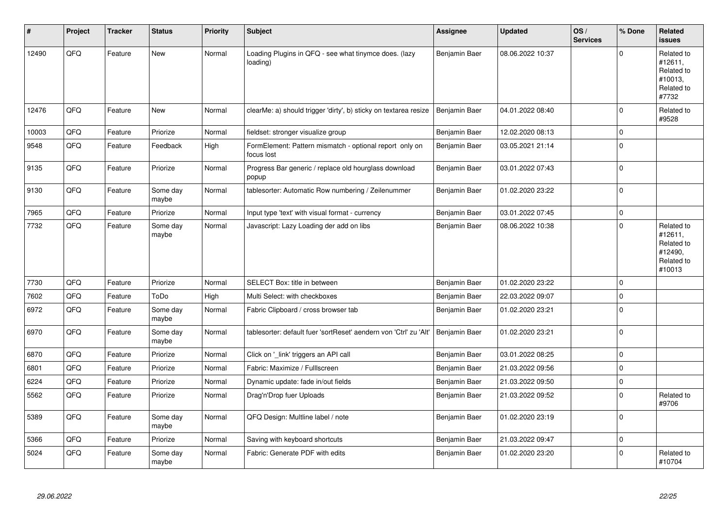| #     | Project | <b>Tracker</b> | <b>Status</b>     | <b>Priority</b> | <b>Subject</b>                                                        | Assignee      | <b>Updated</b>   | OS/<br><b>Services</b> | % Done      | Related<br><b>issues</b>                                               |
|-------|---------|----------------|-------------------|-----------------|-----------------------------------------------------------------------|---------------|------------------|------------------------|-------------|------------------------------------------------------------------------|
| 12490 | QFQ     | Feature        | New               | Normal          | Loading Plugins in QFQ - see what tinymce does. (lazy<br>loading)     | Benjamin Baer | 08.06.2022 10:37 |                        | $\Omega$    | Related to<br>#12611,<br>Related to<br>#10013,<br>Related to<br>#7732  |
| 12476 | QFQ     | Feature        | New               | Normal          | clearMe: a) should trigger 'dirty', b) sticky on textarea resize      | Benjamin Baer | 04.01.2022 08:40 |                        | $\mathbf 0$ | Related to<br>#9528                                                    |
| 10003 | QFQ     | Feature        | Priorize          | Normal          | fieldset: stronger visualize group                                    | Benjamin Baer | 12.02.2020 08:13 |                        | $\mathbf 0$ |                                                                        |
| 9548  | QFQ     | Feature        | Feedback          | High            | FormElement: Pattern mismatch - optional report only on<br>focus lost | Benjamin Baer | 03.05.2021 21:14 |                        | $\mathbf 0$ |                                                                        |
| 9135  | QFQ     | Feature        | Priorize          | Normal          | Progress Bar generic / replace old hourglass download<br>popup        | Benjamin Baer | 03.01.2022 07:43 |                        | $\pmb{0}$   |                                                                        |
| 9130  | QFQ     | Feature        | Some day<br>maybe | Normal          | tablesorter: Automatic Row numbering / Zeilenummer                    | Benjamin Baer | 01.02.2020 23:22 |                        | $\pmb{0}$   |                                                                        |
| 7965  | QFQ     | Feature        | Priorize          | Normal          | Input type 'text' with visual format - currency                       | Benjamin Baer | 03.01.2022 07:45 |                        | $\mathbf 0$ |                                                                        |
| 7732  | QFO     | Feature        | Some day<br>maybe | Normal          | Javascript: Lazy Loading der add on libs                              | Benjamin Baer | 08.06.2022 10:38 |                        | $\pmb{0}$   | Related to<br>#12611.<br>Related to<br>#12490,<br>Related to<br>#10013 |
| 7730  | QFQ     | Feature        | Priorize          | Normal          | SELECT Box: title in between                                          | Benjamin Baer | 01.02.2020 23:22 |                        | $\mathbf 0$ |                                                                        |
| 7602  | QFQ     | Feature        | ToDo              | High            | Multi Select: with checkboxes                                         | Benjamin Baer | 22.03.2022 09:07 |                        | $\mathbf 0$ |                                                                        |
| 6972  | QFQ     | Feature        | Some day<br>maybe | Normal          | Fabric Clipboard / cross browser tab                                  | Benjamin Baer | 01.02.2020 23:21 |                        | $\mathbf 0$ |                                                                        |
| 6970  | QFQ     | Feature        | Some day<br>maybe | Normal          | tablesorter: default fuer 'sortReset' aendern von 'Ctrl' zu 'Alt'     | Benjamin Baer | 01.02.2020 23:21 |                        | $\mathbf 0$ |                                                                        |
| 6870  | QFQ     | Feature        | Priorize          | Normal          | Click on '_link' triggers an API call                                 | Benjamin Baer | 03.01.2022 08:25 |                        | $\mathbf 0$ |                                                                        |
| 6801  | QFQ     | Feature        | Priorize          | Normal          | Fabric: Maximize / Fulllscreen                                        | Benjamin Baer | 21.03.2022 09:56 |                        | $\pmb{0}$   |                                                                        |
| 6224  | QFQ     | Feature        | Priorize          | Normal          | Dynamic update: fade in/out fields                                    | Benjamin Baer | 21.03.2022 09:50 |                        | $\mathbf 0$ |                                                                        |
| 5562  | QFQ     | Feature        | Priorize          | Normal          | Drag'n'Drop fuer Uploads                                              | Benjamin Baer | 21.03.2022 09:52 |                        | $\mathbf 0$ | Related to<br>#9706                                                    |
| 5389  | QFQ     | Feature        | Some day<br>maybe | Normal          | QFQ Design: Multline label / note                                     | Benjamin Baer | 01.02.2020 23:19 |                        | $\mathbf 0$ |                                                                        |
| 5366  | QFQ     | Feature        | Priorize          | Normal          | Saving with keyboard shortcuts                                        | Benjamin Baer | 21.03.2022 09:47 |                        | $\pmb{0}$   |                                                                        |
| 5024  | QFQ     | Feature        | Some day<br>maybe | Normal          | Fabric: Generate PDF with edits                                       | Benjamin Baer | 01.02.2020 23:20 |                        | $\Omega$    | Related to<br>#10704                                                   |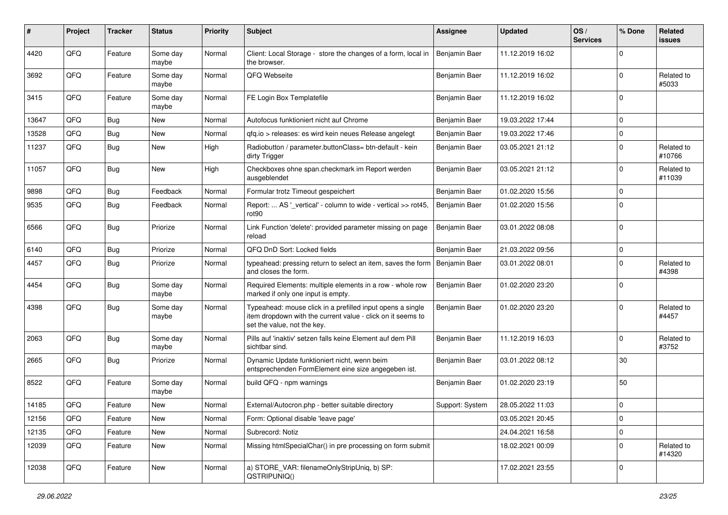| #     | Project | <b>Tracker</b> | <b>Status</b>     | <b>Priority</b> | Subject                                                                                                                                                  | <b>Assignee</b> | <b>Updated</b>   | OS/<br><b>Services</b> | % Done      | Related<br><b>issues</b> |
|-------|---------|----------------|-------------------|-----------------|----------------------------------------------------------------------------------------------------------------------------------------------------------|-----------------|------------------|------------------------|-------------|--------------------------|
| 4420  | QFQ     | Feature        | Some day<br>maybe | Normal          | Client: Local Storage - store the changes of a form, local in<br>the browser.                                                                            | Benjamin Baer   | 11.12.2019 16:02 |                        | $\Omega$    |                          |
| 3692  | QFQ     | Feature        | Some day<br>maybe | Normal          | QFQ Webseite                                                                                                                                             | Benjamin Baer   | 11.12.2019 16:02 |                        | $\Omega$    | Related to<br>#5033      |
| 3415  | QFQ     | Feature        | Some day<br>maybe | Normal          | FE Login Box Templatefile                                                                                                                                | Benjamin Baer   | 11.12.2019 16:02 |                        | $\Omega$    |                          |
| 13647 | QFQ     | <b>Bug</b>     | New               | Normal          | Autofocus funktioniert nicht auf Chrome                                                                                                                  | Benjamin Baer   | 19.03.2022 17:44 |                        | $\Omega$    |                          |
| 13528 | QFQ     | <b>Bug</b>     | New               | Normal          | gfg.io > releases: es wird kein neues Release angelegt                                                                                                   | Benjamin Baer   | 19.03.2022 17:46 |                        | $\Omega$    |                          |
| 11237 | QFQ     | <b>Bug</b>     | New               | High            | Radiobutton / parameter.buttonClass= btn-default - kein<br>dirty Trigger                                                                                 | Benjamin Baer   | 03.05.2021 21:12 |                        | $\Omega$    | Related to<br>#10766     |
| 11057 | QFQ     | <b>Bug</b>     | New               | High            | Checkboxes ohne span.checkmark im Report werden<br>ausgeblendet                                                                                          | Benjamin Baer   | 03.05.2021 21:12 |                        | $\Omega$    | Related to<br>#11039     |
| 9898  | QFQ     | Bug            | Feedback          | Normal          | Formular trotz Timeout gespeichert                                                                                                                       | Benjamin Baer   | 01.02.2020 15:56 |                        | $\Omega$    |                          |
| 9535  | QFQ     | <b>Bug</b>     | Feedback          | Normal          | Report:  AS '_vertical' - column to wide - vertical >> rot45,<br>rot90                                                                                   | Benjamin Baer   | 01.02.2020 15:56 |                        | $\Omega$    |                          |
| 6566  | QFQ     | <b>Bug</b>     | Priorize          | Normal          | Link Function 'delete': provided parameter missing on page<br>reload                                                                                     | Benjamin Baer   | 03.01.2022 08:08 |                        | $\Omega$    |                          |
| 6140  | QFQ     | Bug            | Priorize          | Normal          | QFQ DnD Sort: Locked fields                                                                                                                              | Benjamin Baer   | 21.03.2022 09:56 |                        | $\mathbf 0$ |                          |
| 4457  | QFQ     | <b>Bug</b>     | Priorize          | Normal          | typeahead: pressing return to select an item, saves the form<br>and closes the form.                                                                     | Benjamin Baer   | 03.01.2022 08:01 |                        | $\Omega$    | Related to<br>#4398      |
| 4454  | QFQ     | <b>Bug</b>     | Some day<br>maybe | Normal          | Required Elements: multiple elements in a row - whole row<br>marked if only one input is empty.                                                          | Benjamin Baer   | 01.02.2020 23:20 |                        | $\Omega$    |                          |
| 4398  | QFQ     | <b>Bug</b>     | Some day<br>maybe | Normal          | Typeahead: mouse click in a prefilled input opens a single<br>item dropdown with the current value - click on it seems to<br>set the value, not the key. | Benjamin Baer   | 01.02.2020 23:20 |                        | $\Omega$    | Related to<br>#4457      |
| 2063  | QFQ     | <b>Bug</b>     | Some day<br>maybe | Normal          | Pills auf 'inaktiv' setzen falls keine Element auf dem Pill<br>sichtbar sind.                                                                            | Benjamin Baer   | 11.12.2019 16:03 |                        | $\Omega$    | Related to<br>#3752      |
| 2665  | QFQ     | <b>Bug</b>     | Priorize          | Normal          | Dynamic Update funktioniert nicht, wenn beim<br>entsprechenden FormElement eine size angegeben ist.                                                      | Benjamin Baer   | 03.01.2022 08:12 |                        | $30\,$      |                          |
| 8522  | QFQ     | Feature        | Some day<br>maybe | Normal          | build QFQ - npm warnings                                                                                                                                 | Benjamin Baer   | 01.02.2020 23:19 |                        | 50          |                          |
| 14185 | QFQ     | Feature        | New               | Normal          | External/Autocron.php - better suitable directory                                                                                                        | Support: System | 28.05.2022 11:03 |                        | $\mathbf 0$ |                          |
| 12156 | QFQ     | Feature        | New               | Normal          | Form: Optional disable 'leave page'                                                                                                                      |                 | 03.05.2021 20:45 |                        | 0           |                          |
| 12135 | QFQ     | Feature        | New               | Normal          | Subrecord: Notiz                                                                                                                                         |                 | 24.04.2021 16:58 |                        | 0           |                          |
| 12039 | QFQ     | Feature        | New               | Normal          | Missing htmlSpecialChar() in pre processing on form submit                                                                                               |                 | 18.02.2021 00:09 |                        | 0           | Related to<br>#14320     |
| 12038 | QFQ     | Feature        | New               | Normal          | a) STORE_VAR: filenameOnlyStripUniq, b) SP:<br>QSTRIPUNIQ()                                                                                              |                 | 17.02.2021 23:55 |                        | 0           |                          |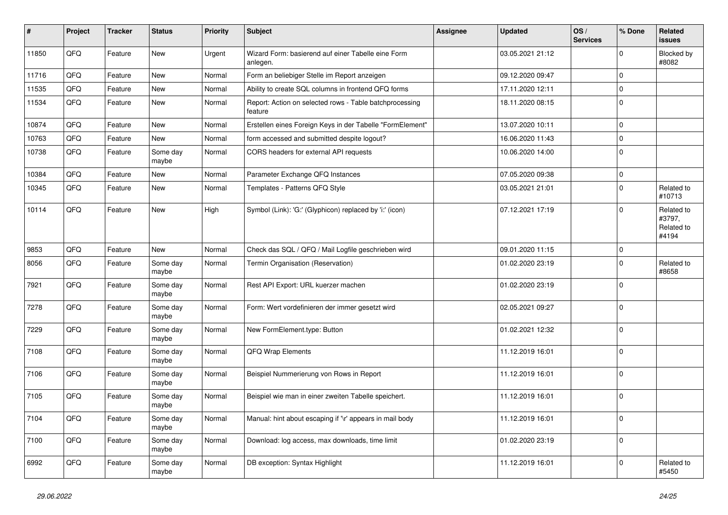| $\vert$ # | Project | <b>Tracker</b> | <b>Status</b>     | <b>Priority</b> | <b>Subject</b>                                                     | <b>Assignee</b> | <b>Updated</b>   | OS/<br><b>Services</b> | % Done      | Related<br><b>issues</b>                    |
|-----------|---------|----------------|-------------------|-----------------|--------------------------------------------------------------------|-----------------|------------------|------------------------|-------------|---------------------------------------------|
| 11850     | QFQ     | Feature        | <b>New</b>        | Urgent          | Wizard Form: basierend auf einer Tabelle eine Form<br>anlegen.     |                 | 03.05.2021 21:12 |                        | $\mathbf 0$ | Blocked by<br>#8082                         |
| 11716     | QFQ     | Feature        | New               | Normal          | Form an beliebiger Stelle im Report anzeigen                       |                 | 09.12.2020 09:47 |                        | $\pmb{0}$   |                                             |
| 11535     | QFQ     | Feature        | <b>New</b>        | Normal          | Ability to create SQL columns in frontend QFQ forms                |                 | 17.11.2020 12:11 |                        | $\mathbf 0$ |                                             |
| 11534     | QFQ     | Feature        | New               | Normal          | Report: Action on selected rows - Table batchprocessing<br>feature |                 | 18.11.2020 08:15 |                        | $\mathbf 0$ |                                             |
| 10874     | QFQ     | Feature        | New               | Normal          | Erstellen eines Foreign Keys in der Tabelle "FormElement"          |                 | 13.07.2020 10:11 |                        | $\pmb{0}$   |                                             |
| 10763     | QFQ     | Feature        | New               | Normal          | form accessed and submitted despite logout?                        |                 | 16.06.2020 11:43 |                        | $\pmb{0}$   |                                             |
| 10738     | QFQ     | Feature        | Some day<br>maybe | Normal          | CORS headers for external API requests                             |                 | 10.06.2020 14:00 |                        | $\Omega$    |                                             |
| 10384     | QFQ     | Feature        | <b>New</b>        | Normal          | Parameter Exchange QFQ Instances                                   |                 | 07.05.2020 09:38 |                        | $\mathbf 0$ |                                             |
| 10345     | QFQ     | Feature        | <b>New</b>        | Normal          | Templates - Patterns QFQ Style                                     |                 | 03.05.2021 21:01 |                        | $\mathbf 0$ | Related to<br>#10713                        |
| 10114     | QFQ     | Feature        | New               | High            | Symbol (Link): 'G:' (Glyphicon) replaced by 'i:' (icon)            |                 | 07.12.2021 17:19 |                        | $\Omega$    | Related to<br>#3797,<br>Related to<br>#4194 |
| 9853      | QFQ     | Feature        | <b>New</b>        | Normal          | Check das SQL / QFQ / Mail Logfile geschrieben wird                |                 | 09.01.2020 11:15 |                        | $\mathbf 0$ |                                             |
| 8056      | QFQ     | Feature        | Some day<br>maybe | Normal          | Termin Organisation (Reservation)                                  |                 | 01.02.2020 23:19 |                        | $\mathbf 0$ | Related to<br>#8658                         |
| 7921      | QFQ     | Feature        | Some day<br>maybe | Normal          | Rest API Export: URL kuerzer machen                                |                 | 01.02.2020 23:19 |                        | $\Omega$    |                                             |
| 7278      | QFQ     | Feature        | Some day<br>maybe | Normal          | Form: Wert vordefinieren der immer gesetzt wird                    |                 | 02.05.2021 09:27 |                        | $\mathbf 0$ |                                             |
| 7229      | QFQ     | Feature        | Some day<br>maybe | Normal          | New FormElement.type: Button                                       |                 | 01.02.2021 12:32 |                        | $\mathbf 0$ |                                             |
| 7108      | QFQ     | Feature        | Some day<br>maybe | Normal          | QFQ Wrap Elements                                                  |                 | 11.12.2019 16:01 |                        | $\Omega$    |                                             |
| 7106      | QFQ     | Feature        | Some day<br>maybe | Normal          | Beispiel Nummerierung von Rows in Report                           |                 | 11.12.2019 16:01 |                        | $\mathbf 0$ |                                             |
| 7105      | QFQ     | Feature        | Some day<br>maybe | Normal          | Beispiel wie man in einer zweiten Tabelle speichert.               |                 | 11.12.2019 16:01 |                        | $\mathbf 0$ |                                             |
| 7104      | QFQ     | Feature        | Some day<br>maybe | Normal          | Manual: hint about escaping if '\r' appears in mail body           |                 | 11.12.2019 16:01 |                        | $\mathbf 0$ |                                             |
| 7100      | QFQ     | Feature        | Some day<br>maybe | Normal          | Download: log access, max downloads, time limit                    |                 | 01.02.2020 23:19 |                        | $\mathbf 0$ |                                             |
| 6992      | QFQ     | Feature        | Some day<br>maybe | Normal          | DB exception: Syntax Highlight                                     |                 | 11.12.2019 16:01 |                        | $\mathbf 0$ | Related to<br>#5450                         |